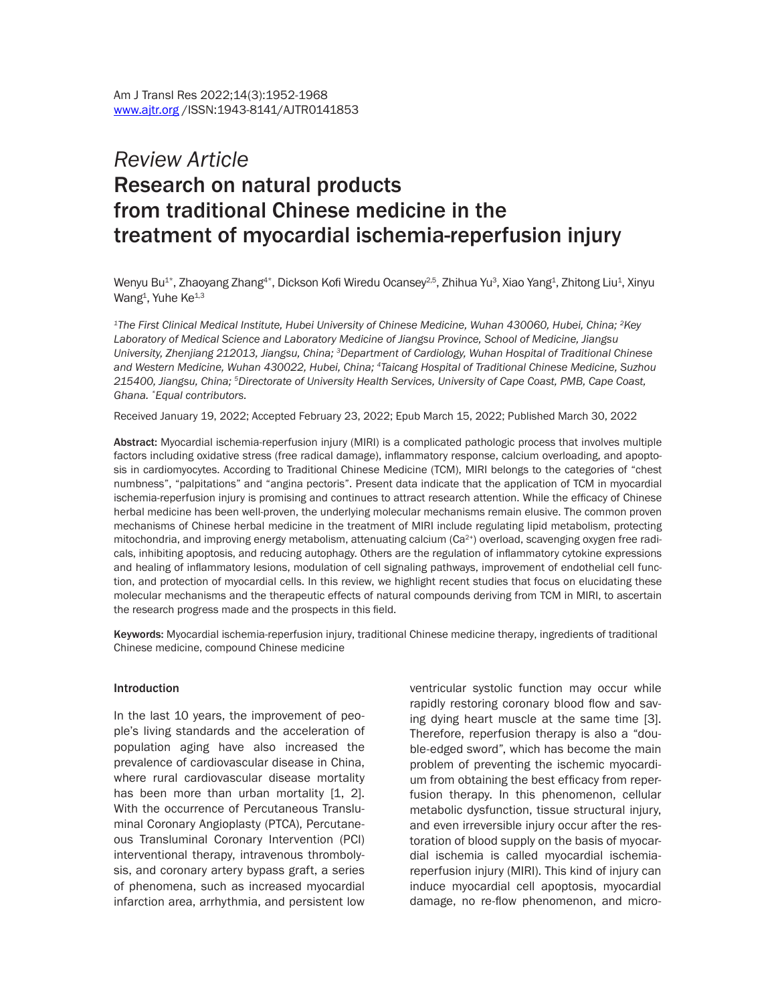# *Review Article* Research on natural products from traditional Chinese medicine in the treatment of myocardial ischemia-reperfusion injury

Wenyu Bu<sup>1\*</sup>, Zhaoyang Zhang<sup>4\*</sup>, Dickson Kofi Wiredu Ocansey<sup>2,5</sup>, Zhihua Yu<sup>3</sup>, Xiao Yang<sup>1</sup>, Zhitong Liu<sup>1</sup>, Xinyu Wang<sup>1</sup>, Yuhe Ke<sup>1,3</sup>

*1The First Clinical Medical Institute, Hubei University of Chinese Medicine, Wuhan 430060, Hubei, China; 2Key Laboratory of Medical Science and Laboratory Medicine of Jiangsu Province, School of Medicine, Jiangsu University, Zhenjiang 212013, Jiangsu, China; 3Department of Cardiology, Wuhan Hospital of Traditional Chinese and Western Medicine, Wuhan 430022, Hubei, China; 4Taicang Hospital of Traditional Chinese Medicine, Suzhou 215400, Jiangsu, China; 5Directorate of University Health Services, University of Cape Coast, PMB, Cape Coast, Ghana. \*Equal contributors.*

Received January 19, 2022; Accepted February 23, 2022; Epub March 15, 2022; Published March 30, 2022

Abstract: Myocardial ischemia-reperfusion injury (MIRI) is a complicated pathologic process that involves multiple factors including oxidative stress (free radical damage), inflammatory response, calcium overloading, and apoptosis in cardiomyocytes. According to Traditional Chinese Medicine (TCM), MIRI belongs to the categories of "chest numbness", "palpitations" and "angina pectoris". Present data indicate that the application of TCM in myocardial ischemia-reperfusion injury is promising and continues to attract research attention. While the efficacy of Chinese herbal medicine has been well-proven, the underlying molecular mechanisms remain elusive. The common proven mechanisms of Chinese herbal medicine in the treatment of MIRI include regulating lipid metabolism, protecting mitochondria, and improving energy metabolism, attenuating calcium (Ca<sup>2+</sup>) overload, scavenging oxygen free radicals, inhibiting apoptosis, and reducing autophagy. Others are the regulation of inflammatory cytokine expressions and healing of inflammatory lesions, modulation of cell signaling pathways, improvement of endothelial cell function, and protection of myocardial cells. In this review, we highlight recent studies that focus on elucidating these molecular mechanisms and the therapeutic effects of natural compounds deriving from TCM in MIRI, to ascertain the research progress made and the prospects in this field.

Keywords: Myocardial ischemia-reperfusion injury, traditional Chinese medicine therapy, ingredients of traditional Chinese medicine, compound Chinese medicine

#### Introduction

In the last 10 years, the improvement of people's living standards and the acceleration of population aging have also increased the prevalence of cardiovascular disease in China, where rural cardiovascular disease mortality has been more than urban mortality [1, 2]. With the occurrence of Percutaneous Transluminal Coronary Angioplasty (PTCA), Percutaneous Transluminal Coronary Intervention (PCI) interventional therapy, intravenous thrombolysis, and coronary artery bypass graft, a series of phenomena, such as increased myocardial infarction area, arrhythmia, and persistent low

ventricular systolic function may occur while rapidly restoring coronary blood flow and saving dying heart muscle at the same time [3]. Therefore, reperfusion therapy is also a "double-edged sword", which has become the main problem of preventing the ischemic myocardium from obtaining the best efficacy from reperfusion therapy. In this phenomenon, cellular metabolic dysfunction, tissue structural injury, and even irreversible injury occur after the restoration of blood supply on the basis of myocardial ischemia is called myocardial ischemiareperfusion injury (MIRI). This kind of injury can induce myocardial cell apoptosis, myocardial damage, no re-flow phenomenon, and micro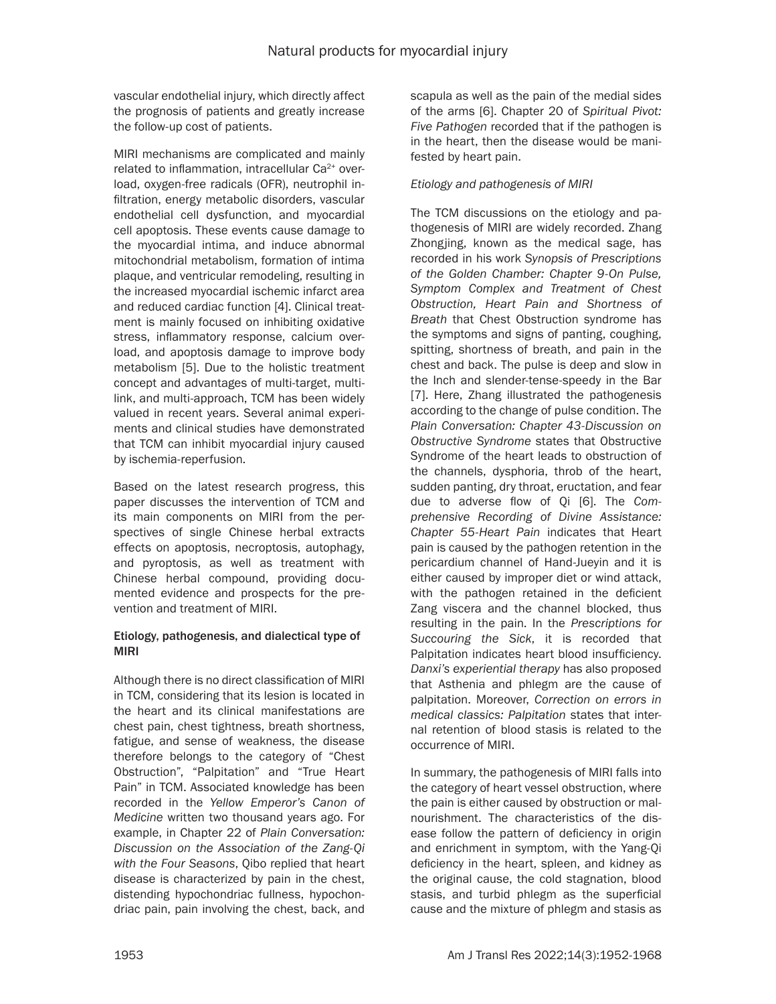vascular endothelial injury, which directly affect the prognosis of patients and greatly increase the follow-up cost of patients.

MIRI mechanisms are complicated and mainly related to inflammation, intracellular Ca<sup>2+</sup> overload, oxygen-free radicals (OFR), neutrophil infiltration, energy metabolic disorders, vascular endothelial cell dysfunction, and myocardial cell apoptosis. These events cause damage to the myocardial intima, and induce abnormal mitochondrial metabolism, formation of intima plaque, and ventricular remodeling, resulting in the increased myocardial ischemic infarct area and reduced cardiac function [4]. Clinical treatment is mainly focused on inhibiting oxidative stress, inflammatory response, calcium overload, and apoptosis damage to improve body metabolism [5]. Due to the holistic treatment concept and advantages of multi-target, multilink, and multi-approach, TCM has been widely valued in recent years. Several animal experiments and clinical studies have demonstrated that TCM can inhibit myocardial injury caused by ischemia-reperfusion.

Based on the latest research progress, this paper discusses the intervention of TCM and its main components on MIRI from the perspectives of single Chinese herbal extracts effects on apoptosis, necroptosis, autophagy, and pyroptosis, as well as treatment with Chinese herbal compound, providing documented evidence and prospects for the prevention and treatment of MIRI.

# Etiology, pathogenesis, and dialectical type of MIRI

Although there is no direct classification of MIRI in TCM, considering that its lesion is located in the heart and its clinical manifestations are chest pain, chest tightness, breath shortness, fatigue, and sense of weakness, the disease therefore belongs to the category of "Chest Obstruction", "Palpitation" and "True Heart Pain" in TCM. Associated knowledge has been recorded in the *Yellow Emperor's Canon of Medicine* written two thousand years ago. For example, in Chapter 22 of *Plain Conversation: Discussion on the Association of the Zang-Qi with the Four Seasons*, Qibo replied that heart disease is characterized by pain in the chest, distending hypochondriac fullness, hypochondriac pain, pain involving the chest, back, and

scapula as well as the pain of the medial sides of the arms [6]. Chapter 20 of *Spiritual Pivot: Five Pathogen* recorded that if the pathogen is in the heart, then the disease would be manifested by heart pain.

# *Etiology and pathogenesis of MIRI*

The TCM discussions on the etiology and pathogenesis of MIRI are widely recorded. Zhang Zhongjing, known as the medical sage, has recorded in his work *Synopsis of Prescriptions of the Golden Chamber: Chapter 9-On Pulse, Symptom Complex and Treatment of Chest Obstruction, Heart Pain and Shortness of Breath* that Chest Obstruction syndrome has the symptoms and signs of panting, coughing, spitting, shortness of breath, and pain in the chest and back. The pulse is deep and slow in the Inch and slender-tense-speedy in the Bar [7]. Here, Zhang illustrated the pathogenesis according to the change of pulse condition. The *Plain Conversation: Chapter 43-Discussion on Obstructive Syndrome* states that Obstructive Syndrome of the heart leads to obstruction of the channels, dysphoria, throb of the heart, sudden panting, dry throat, eructation, and fear due to adverse flow of Qi [6]. The *Comprehensive Recording of Divine Assistance: Chapter 55-Heart Pain* indicates that Heart pain is caused by the pathogen retention in the pericardium channel of Hand-Jueyin and it is either caused by improper diet or wind attack, with the pathogen retained in the deficient Zang viscera and the channel blocked, thus resulting in the pain. In the *Prescriptions for Succouring the Sick*, it is recorded that Palpitation indicates heart blood insufficiency. *Danxi's experiential therapy* has also proposed that Asthenia and phlegm are the cause of palpitation. Moreover, *Correction on errors in medical classics: Palpitation* states that internal retention of blood stasis is related to the occurrence of MIRI.

In summary, the pathogenesis of MIRI falls into the category of heart vessel obstruction, where the pain is either caused by obstruction or malnourishment. The characteristics of the disease follow the pattern of deficiency in origin and enrichment in symptom, with the Yang-Qi deficiency in the heart, spleen, and kidney as the original cause, the cold stagnation, blood stasis, and turbid phlegm as the superficial cause and the mixture of phlegm and stasis as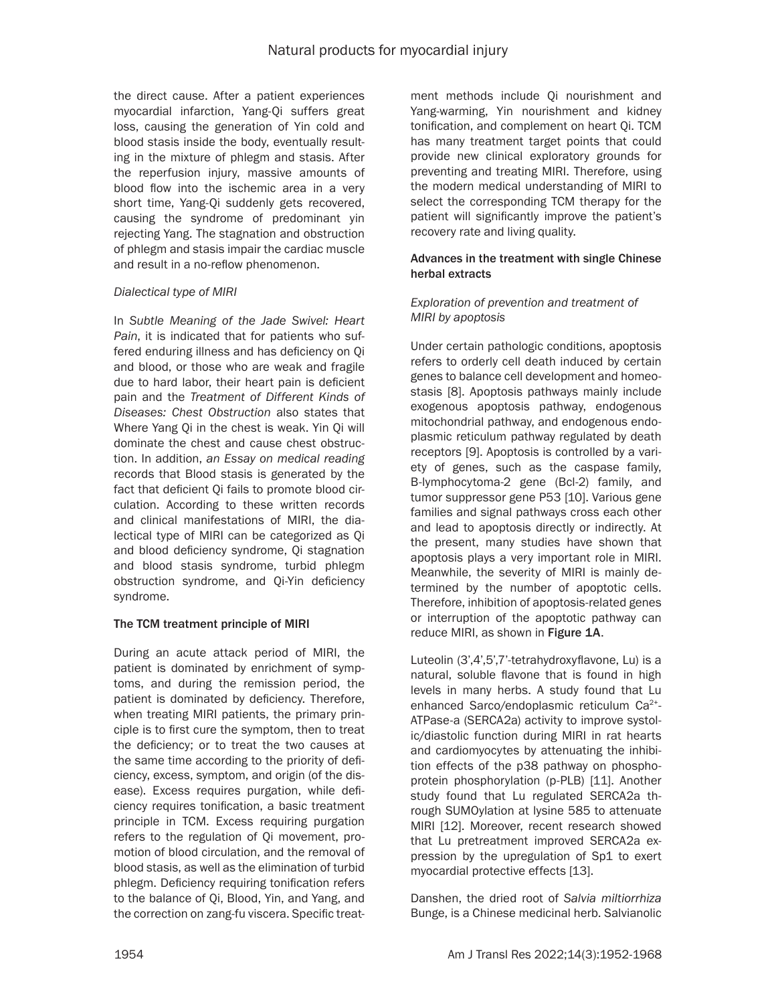the direct cause. After a patient experiences myocardial infarction, Yang-Qi suffers great loss, causing the generation of Yin cold and blood stasis inside the body, eventually resulting in the mixture of phlegm and stasis. After the reperfusion injury, massive amounts of blood flow into the ischemic area in a very short time, Yang-Qi suddenly gets recovered, causing the syndrome of predominant yin rejecting Yang. The stagnation and obstruction of phlegm and stasis impair the cardiac muscle and result in a no-reflow phenomenon.

# *Dialectical type of MIRI*

In *Subtle Meaning of the Jade Swivel: Heart Pain*, it is indicated that for patients who suffered enduring illness and has deficiency on Qi and blood, or those who are weak and fragile due to hard labor, their heart pain is deficient pain and the *Treatment of Different Kinds of Diseases: Chest Obstruction* also states that Where Yang Qi in the chest is weak. Yin Qi will dominate the chest and cause chest obstruction. In addition, *an Essay on medical reading* records that Blood stasis is generated by the fact that deficient Qi fails to promote blood circulation. According to these written records and clinical manifestations of MIRI, the dialectical type of MIRI can be categorized as Qi and blood deficiency syndrome, Qi stagnation and blood stasis syndrome, turbid phlegm obstruction syndrome, and Qi-Yin deficiency syndrome.

# The TCM treatment principle of MIRI

During an acute attack period of MIRI, the patient is dominated by enrichment of symptoms, and during the remission period, the patient is dominated by deficiency. Therefore, when treating MIRI patients, the primary principle is to first cure the symptom, then to treat the deficiency; or to treat the two causes at the same time according to the priority of deficiency, excess, symptom, and origin (of the disease). Excess requires purgation, while deficiency requires tonification, a basic treatment principle in TCM. Excess requiring purgation refers to the regulation of Qi movement, promotion of blood circulation, and the removal of blood stasis, as well as the elimination of turbid phlegm. Deficiency requiring tonification refers to the balance of Qi, Blood, Yin, and Yang, and the correction on zang-fu viscera. Specific treatment methods include Qi nourishment and Yang-warming, Yin nourishment and kidney tonification, and complement on heart Qi. TCM has many treatment target points that could provide new clinical exploratory grounds for preventing and treating MIRI. Therefore, using the modern medical understanding of MIRI to select the corresponding TCM therapy for the patient will significantly improve the patient's recovery rate and living quality.

#### Advances in the treatment with single Chinese herbal extracts

# *Exploration of prevention and treatment of MIRI by apoptosis*

Under certain pathologic conditions, apoptosis refers to orderly cell death induced by certain genes to balance cell development and homeostasis [8]. Apoptosis pathways mainly include exogenous apoptosis pathway, endogenous mitochondrial pathway, and endogenous endoplasmic reticulum pathway regulated by death receptors [9]. Apoptosis is controlled by a variety of genes, such as the caspase family, B-lymphocytoma-2 gene (Bcl-2) family, and tumor suppressor gene P53 [10]. Various gene families and signal pathways cross each other and lead to apoptosis directly or indirectly. At the present, many studies have shown that apoptosis plays a very important role in MIRI. Meanwhile, the severity of MIRI is mainly determined by the number of apoptotic cells. Therefore, inhibition of apoptosis-related genes or interruption of the apoptotic pathway can reduce MIRI, as shown in Figure 1A.

Luteolin (3',4',5',7'-tetrahydroxyflavone, Lu) is a natural, soluble flavone that is found in high levels in many herbs. A study found that Lu enhanced Sarco/endoplasmic reticulum Ca2+- ATPase-a (SERCA2a) activity to improve systolic/diastolic function during MIRI in rat hearts and cardiomyocytes by attenuating the inhibition effects of the p38 pathway on phosphoprotein phosphorylation (p-PLB) [11]. Another study found that Lu regulated SERCA2a through SUMOylation at lysine 585 to attenuate MIRI [12]. Moreover, recent research showed that Lu pretreatment improved SERCA2a expression by the upregulation of Sp1 to exert myocardial protective effects [13].

Danshen, the dried root of *Salvia miltiorrhiza* Bunge, is a Chinese medicinal herb. Salvianolic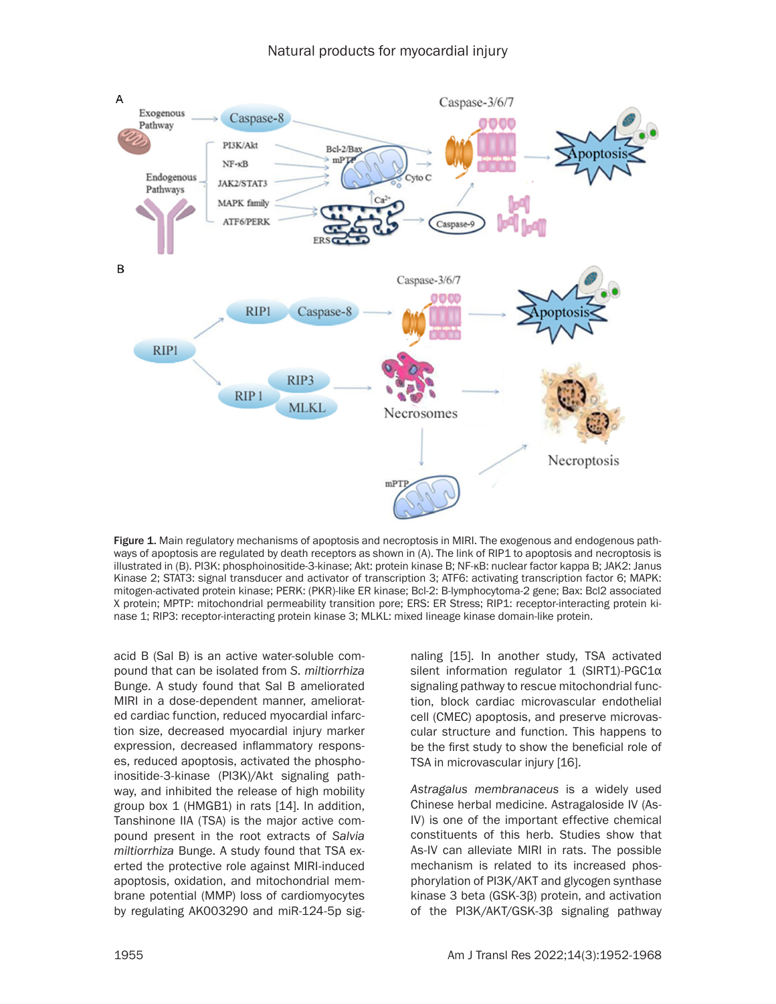

Figure 1. Main regulatory mechanisms of apoptosis and necroptosis in MIRI. The exogenous and endogenous pathways of apoptosis are regulated by death receptors as shown in (A). The link of RIP1 to apoptosis and necroptosis is illustrated in (B). PI3K: phosphoinositide-3-kinase; Akt: protein kinase B; NF-κB: nuclear factor kappa B; JAK2: Janus Kinase 2; STAT3: signal transducer and activator of transcription 3; ATF6: activating transcription factor 6; MAPK: mitogen-activated protein kinase; PERK: (PKR)-like ER kinase; Bcl-2: B-lymphocytoma-2 gene; Bax: Bcl2 associated X protein; MPTP: mitochondrial permeability transition pore; ERS: ER Stress; RIP1: receptor-interacting protein kinase 1; RIP3: receptor-interacting protein kinase 3; MLKL: mixed lineage kinase domain-like protein.

acid B (Sal B) is an active water-soluble compound that can be isolated from *S. miltiorrhiza* Bunge. A study found that Sal B ameliorated MIRI in a dose-dependent manner, ameliorated cardiac function, reduced myocardial infarction size, decreased myocardial injury marker expression, decreased inflammatory responses, reduced apoptosis, activated the phosphoinositide-3-kinase (PI3K)/Akt signaling pathway, and inhibited the release of high mobility group box 1 (HMGB1) in rats [14]. In addition, Tanshinone IIA (TSA) is the major active compound present in the root extracts of *Salvia miltiorrhiza* Bunge. A study found that TSA exerted the protective role against MIRI-induced apoptosis, oxidation, and mitochondrial membrane potential (MMP) loss of cardiomyocytes by regulating AK003290 and miR-124-5p signaling [15]. In another study, TSA activated silent information regulator 1 (SIRT1)-PGC1α signaling pathway to rescue mitochondrial function, block cardiac microvascular endothelial cell (CMEC) apoptosis, and preserve microvascular structure and function. This happens to be the first study to show the beneficial role of TSA in microvascular injury [16].

*Astragalus membranaceus* is a widely used Chinese herbal medicine. Astragaloside IV (As-IV) is one of the important effective chemical constituents of this herb. Studies show that As-IV can alleviate MIRI in rats. The possible mechanism is related to its increased phosphorylation of PI3K/AKT and glycogen synthase kinase 3 beta (GSK-3β) protein, and activation of the PI3K/AKT/GSK-3β signaling pathway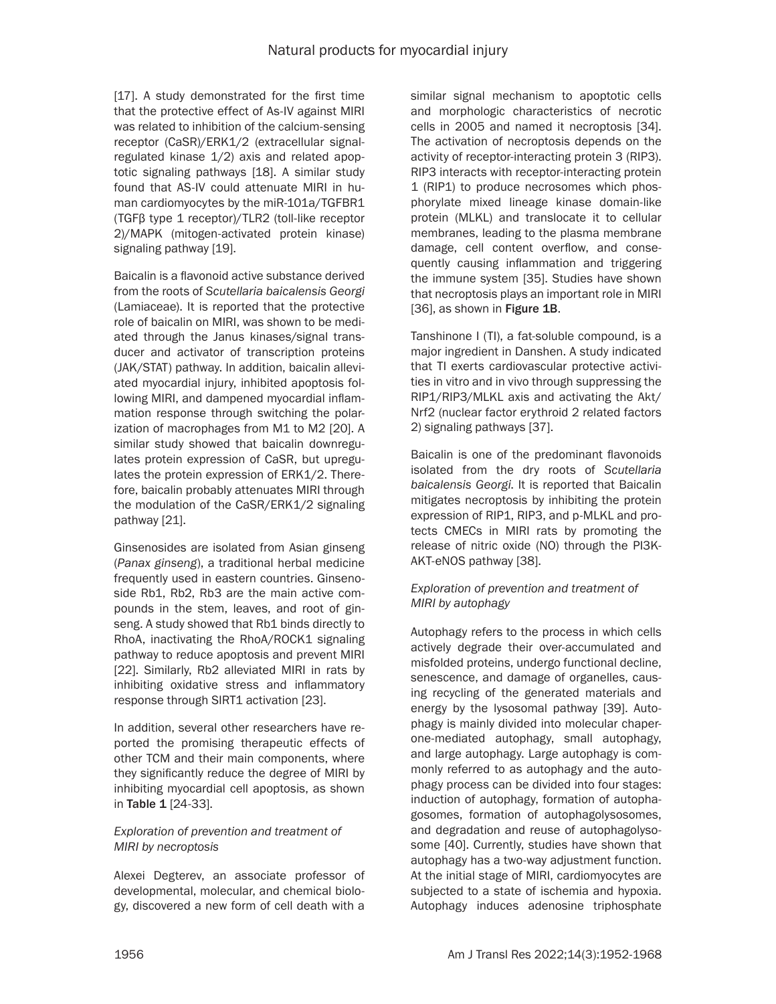[17]. A study demonstrated for the first time that the protective effect of As-IV against MIRI was related to inhibition of the calcium-sensing receptor (CaSR)/ERK1/2 (extracellular signalregulated kinase 1/2) axis and related apoptotic signaling pathways [18]. A similar study found that AS-IV could attenuate MIRI in human cardiomyocytes by the miR-101a/TGFBR1 (TGFβ type 1 receptor)/TLR2 (toll-like receptor 2)/MAPK (mitogen-activated protein kinase) signaling pathway [19].

Baicalin is a flavonoid active substance derived from the roots of *Scutellaria baicalensis Georgi* (Lamiaceae). It is reported that the protective role of baicalin on MIRI, was shown to be mediated through the Janus kinases/signal transducer and activator of transcription proteins (JAK/STAT) pathway. In addition, baicalin alleviated myocardial injury, inhibited apoptosis following MIRI, and dampened myocardial inflammation response through switching the polarization of macrophages from M1 to M2 [20]. A similar study showed that baicalin downregulates protein expression of CaSR, but upregulates the protein expression of ERK1/2. Therefore, baicalin probably attenuates MIRI through the modulation of the CaSR/ERK1/2 signaling pathway [21].

Ginsenosides are isolated from Asian ginseng (*Panax ginseng*), a traditional herbal medicine frequently used in eastern countries. Ginsenoside Rb1, Rb2, Rb3 are the main active compounds in the stem, leaves, and root of ginseng. A study showed that Rb1 binds directly to RhoA, inactivating the RhoA/ROCK1 signaling pathway to reduce apoptosis and prevent MIRI [22]. Similarly, Rb2 alleviated MIRI in rats by inhibiting oxidative stress and inflammatory response through SIRT1 activation [23].

In addition, several other researchers have reported the promising therapeutic effects of other TCM and their main components, where they significantly reduce the degree of MIRI by inhibiting myocardial cell apoptosis, as shown in Table 1 [24-33].

# *Exploration of prevention and treatment of MIRI by necroptosis*

Alexei Degterev, an associate professor of developmental, molecular, and chemical biology, discovered a new form of cell death with a similar signal mechanism to apoptotic cells and morphologic characteristics of necrotic cells in 2005 and named it necroptosis [34]. The activation of necroptosis depends on the activity of receptor-interacting protein 3 (RIP3). RIP3 interacts with receptor-interacting protein 1 (RIP1) to produce necrosomes which phosphorylate mixed lineage kinase domain-like protein (MLKL) and translocate it to cellular membranes, leading to the plasma membrane damage, cell content overflow, and consequently causing inflammation and triggering the immune system [35]. Studies have shown that necroptosis plays an important role in MIRI [36], as shown in Figure 1B.

Tanshinone I (TI), a fat-soluble compound, is a major ingredient in Danshen. A study indicated that TI exerts cardiovascular protective activities in vitro and in vivo through suppressing the RIP1/RIP3/MLKL axis and activating the Akt/ Nrf2 (nuclear factor erythroid 2 related factors 2) signaling pathways [37].

Baicalin is one of the predominant flavonoids isolated from the dry roots of *Scutellaria baicalensis Georgi*. It is reported that Baicalin mitigates necroptosis by inhibiting the protein expression of RIP1, RIP3, and p-MLKL and protects CMECs in MIRI rats by promoting the release of nitric oxide (NO) through the PI3K-AKT-eNOS pathway [38].

# *Exploration of prevention and treatment of MIRI by autophagy*

Autophagy refers to the process in which cells actively degrade their over-accumulated and misfolded proteins, undergo functional decline, senescence, and damage of organelles, causing recycling of the generated materials and energy by the lysosomal pathway [39]. Autophagy is mainly divided into molecular chaperone-mediated autophagy, small autophagy, and large autophagy. Large autophagy is commonly referred to as autophagy and the autophagy process can be divided into four stages: induction of autophagy, formation of autophagosomes, formation of autophagolysosomes, and degradation and reuse of autophagolysosome [40]. Currently, studies have shown that autophagy has a two-way adjustment function. At the initial stage of MIRI, cardiomyocytes are subjected to a state of ischemia and hypoxia. Autophagy induces adenosine triphosphate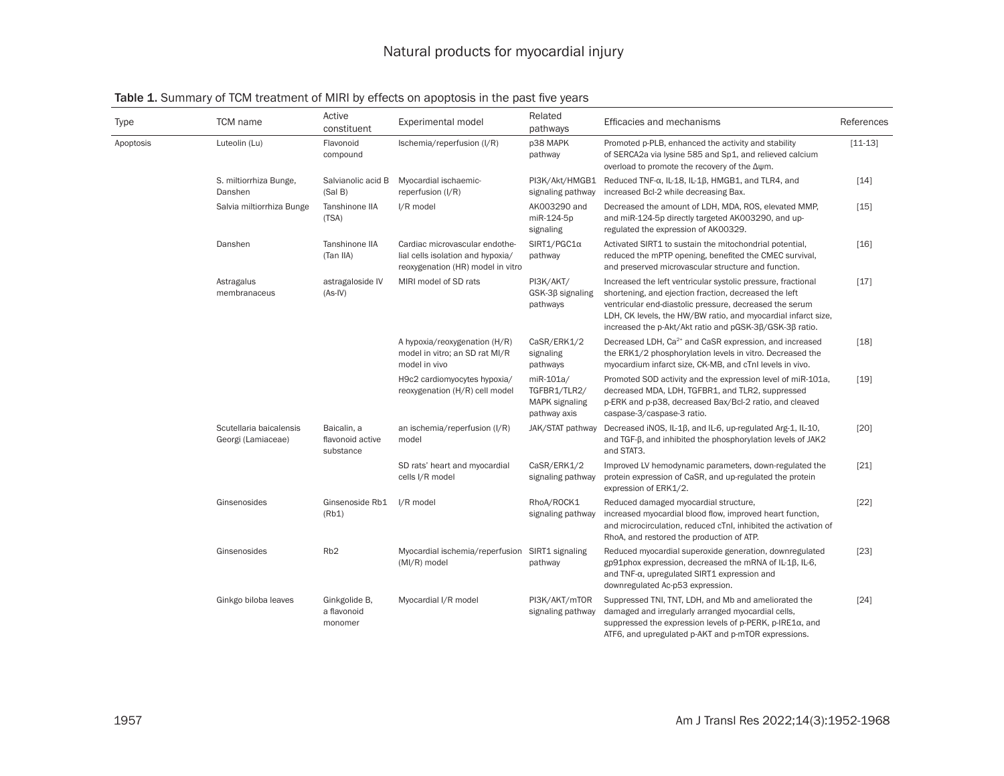| Type      | TCM name                                      | Active<br>constituent                        | Experimental model                                                                                       | Related<br>pathways                                         | Efficacies and mechanisms                                                                                                                                                                                                                                                                                    | References |
|-----------|-----------------------------------------------|----------------------------------------------|----------------------------------------------------------------------------------------------------------|-------------------------------------------------------------|--------------------------------------------------------------------------------------------------------------------------------------------------------------------------------------------------------------------------------------------------------------------------------------------------------------|------------|
| Apoptosis | Luteolin (Lu)                                 | Flavonoid<br>compound                        | Ischemia/reperfusion (I/R)                                                                               | p38 MAPK<br>pathway                                         | Promoted p-PLB, enhanced the activity and stability<br>of SERCA2a via lysine 585 and Sp1, and relieved calcium<br>overload to promote the recovery of the Δψm.                                                                                                                                               | $[11-13]$  |
|           | S. miltiorrhiza Bunge,<br>Danshen             | Salvianolic acid B<br>(Sal B)                | Myocardial ischaemic-<br>reperfusion (I/R)                                                               | signaling pathway                                           | PI3K/Akt/HMGB1 Reduced TNF-α, IL-18, IL-1β, HMGB1, and TLR4, and<br>increased Bcl-2 while decreasing Bax.                                                                                                                                                                                                    | $[14]$     |
|           | Salvia miltiorrhiza Bunge                     | Tanshinone IIA<br>(TSA)                      | I/R model                                                                                                | AK003290 and<br>miR-124-5p<br>signaling                     | Decreased the amount of LDH, MDA, ROS, elevated MMP,<br>and miR-124-5p directly targeted AK003290, and up-<br>regulated the expression of AK00329.                                                                                                                                                           | $[15]$     |
|           | Danshen                                       | Tanshinone IIA<br>(Tan IIA)                  | Cardiac microvascular endothe-<br>lial cells isolation and hypoxia/<br>reoxygenation (HR) model in vitro | $SIRT1/PGC1\alpha$<br>pathway                               | Activated SIRT1 to sustain the mitochondrial potential,<br>reduced the mPTP opening, benefited the CMEC survival,<br>and preserved microvascular structure and function.                                                                                                                                     | $[16]$     |
|           | Astragalus<br>membranaceus                    | astragaloside IV<br>$(As-IV)$                | MIRI model of SD rats                                                                                    | PI3K/AKT/<br>$GSK-3\beta$ signaling<br>pathways             | Increased the left ventricular systolic pressure, fractional<br>shortening, and ejection fraction, decreased the left<br>ventricular end-diastolic pressure, decreased the serum<br>LDH, CK levels, the HW/BW ratio, and myocardial infarct size,<br>increased the p-Akt/Akt ratio and pGSK-3β/GSK-3β ratio. | $[17]$     |
|           |                                               |                                              | A hypoxia/reoxygenation (H/R)<br>model in vitro; an SD rat MI/R<br>model in vivo                         | CaSR/ERK1/2<br>signaling<br>pathways                        | Decreased LDH, Ca <sup>2+</sup> and CaSR expression, and increased<br>the ERK1/2 phosphorylation levels in vitro. Decreased the<br>myocardium infarct size, CK-MB, and cTnI levels in vivo.                                                                                                                  | $[18]$     |
|           |                                               |                                              | H9c2 cardiomyocytes hypoxia/<br>reoxygenation (H/R) cell model                                           | miR-101a/<br>TGFBR1/TLR2/<br>MAPK signaling<br>pathway axis | Promoted SOD activity and the expression level of miR-101a,<br>decreased MDA, LDH, TGFBR1, and TLR2, suppressed<br>p-ERK and p-p38, decreased Bax/Bcl-2 ratio, and cleaved<br>caspase-3/caspase-3 ratio.                                                                                                     | [19]       |
|           | Scutellaria baicalensis<br>Georgi (Lamiaceae) | Baicalin, a<br>flavonoid active<br>substance | an ischemia/reperfusion (I/R)<br>model                                                                   | JAK/STAT pathway                                            | Decreased iNOS, IL-1β, and IL-6, up-regulated Arg-1, IL-10,<br>and TGF-ß, and inhibited the phosphorylation levels of JAK2<br>and STAT3.                                                                                                                                                                     | [20]       |
|           |                                               |                                              | SD rats' heart and myocardial<br>cells I/R model                                                         | CaSR/ERK1/2<br>signaling pathway                            | Improved LV hemodynamic parameters, down-regulated the<br>protein expression of CaSR, and up-regulated the protein<br>expression of ERK1/2.                                                                                                                                                                  | $[21]$     |
|           | Ginsenosides                                  | Ginsenoside Rb1<br>(Rb1)                     | I/R model                                                                                                | RhoA/ROCK1<br>signaling pathway                             | Reduced damaged myocardial structure,<br>increased myocardial blood flow, improved heart function,<br>and microcirculation, reduced cTnI, inhibited the activation of<br>RhoA, and restored the production of ATP.                                                                                           | $[22]$     |
|           | Ginsenosides                                  | Rb <sub>2</sub>                              | Myocardial ischemia/reperfusion SIRT1 signaling<br>$(MI/R)$ model                                        | pathway                                                     | Reduced myocardial superoxide generation, downregulated<br>gp91phox expression, decreased the mRNA of IL-1β, IL-6,<br>and TNF-a, upregulated SIRT1 expression and<br>downregulated Ac-p53 expression.                                                                                                        | $[23]$     |
|           | Ginkgo biloba leaves                          | Ginkgolide B,<br>a flavonoid<br>monomer      | Myocardial I/R model                                                                                     | PI3K/AKT/mTOR<br>signaling pathway                          | Suppressed TNI, TNT, LDH, and Mb and ameliorated the<br>damaged and irregularly arranged myocardial cells,<br>suppressed the expression levels of $p$ -PERK, $p$ -IRE1 $\alpha$ , and<br>ATF6, and upregulated p-AKT and p-mTOR expressions.                                                                 | $[24]$     |

# Table 1. Summary of TCM treatment of MIRI by effects on apoptosis in the past five years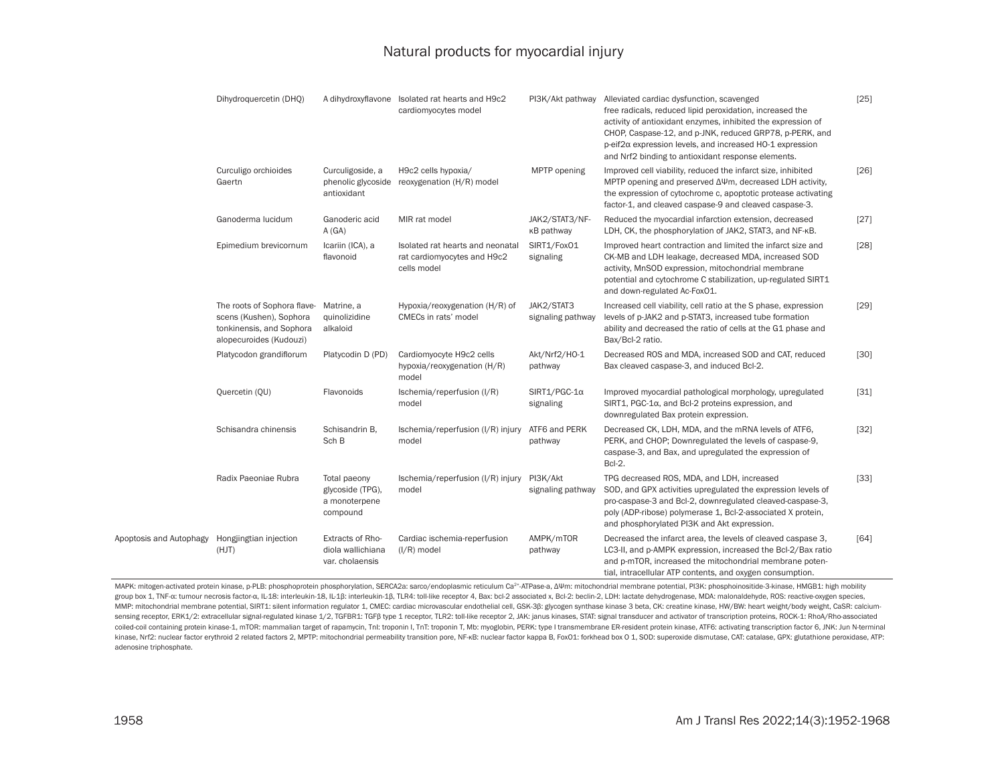# Natural products for myocardial injury

|                                                | Dihydroquercetin (DHQ)                                                                                        |                                                               | A dihydroxyflavone Isolated rat hearts and H9c2<br>cardiomyocytes model        |                                  | PI3K/Akt pathway Alleviated cardiac dysfunction, scavenged<br>free radicals, reduced lipid peroxidation, increased the<br>activity of antioxidant enzymes, inhibited the expression of<br>CHOP, Caspase-12, and p-JNK, reduced GRP78, p-PERK, and<br>$p$ -eif $2\alpha$ expression levels, and increased HO-1 expression<br>and Nrf2 binding to antioxidant response elements. | $[25]$ |
|------------------------------------------------|---------------------------------------------------------------------------------------------------------------|---------------------------------------------------------------|--------------------------------------------------------------------------------|----------------------------------|--------------------------------------------------------------------------------------------------------------------------------------------------------------------------------------------------------------------------------------------------------------------------------------------------------------------------------------------------------------------------------|--------|
|                                                | Curculigo orchioides<br>Gaertn                                                                                | Curculigoside, a<br>phenolic glycoside<br>antioxidant         | H9c2 cells hypoxia/<br>reoxygenation (H/R) model                               | MPTP opening                     | Improved cell viability, reduced the infarct size, inhibited<br>MPTP opening and preserved $\Delta \Psi m$ , decreased LDH activity,<br>the expression of cytochrome c, apoptotic protease activating<br>factor-1, and cleaved caspase-9 and cleaved caspase-3.                                                                                                                | [26]   |
|                                                | Ganoderma lucidum                                                                                             | Ganoderic acid<br>A(GA)                                       | MIR rat model                                                                  | JAK2/STAT3/NF-<br>κB pathway     | Reduced the myocardial infarction extension, decreased<br>LDH, CK, the phosphorylation of JAK2, STAT3, and NF-KB.                                                                                                                                                                                                                                                              | $[27]$ |
|                                                | Epimedium brevicornum                                                                                         | Icariin (ICA), a<br>flavonoid                                 | Isolated rat hearts and neonatal<br>rat cardiomyocytes and H9c2<br>cells model | SIRT1/Fox01<br>signaling         | Improved heart contraction and limited the infarct size and<br>CK-MB and LDH leakage, decreased MDA, increased SOD<br>activity, MnSOD expression, mitochondrial membrane<br>potential and cytochrome C stabilization, up-regulated SIRT1<br>and down-regulated Ac-FoxO1.                                                                                                       | [28]   |
|                                                | The roots of Sophora flave-<br>scens (Kushen), Sophora<br>tonkinensis, and Sophora<br>alopecuroides (Kudouzi) | Matrine, a<br>quinolizidine<br>alkaloid                       | Hypoxia/reoxygenation (H/R) of<br>CMECs in rats' model                         | JAK2/STAT3<br>signaling pathway  | Increased cell viability, cell ratio at the S phase, expression<br>levels of p-JAK2 and p-STAT3, increased tube formation<br>ability and decreased the ratio of cells at the G1 phase and<br>Bax/Bcl-2 ratio.                                                                                                                                                                  | $[29]$ |
|                                                | Platycodon grandiflorum                                                                                       | Platycodin D (PD)                                             | Cardiomyocyte H9c2 cells<br>hypoxia/reoxygenation (H/R)<br>model               | Akt/Nrf2/HO-1<br>pathway         | Decreased ROS and MDA, increased SOD and CAT, reduced<br>Bax cleaved caspase-3, and induced Bcl-2.                                                                                                                                                                                                                                                                             | $[30]$ |
|                                                | Quercetin (QU)                                                                                                | Flavonoids                                                    | Ischemia/reperfusion (I/R)<br>model                                            | $SIRT1/PGC-1\alpha$<br>signaling | Improved myocardial pathological morphology, upregulated<br>SIRT1, PGC-1 $\alpha$ , and Bcl-2 proteins expression, and<br>downregulated Bax protein expression.                                                                                                                                                                                                                | $[31]$ |
|                                                | Schisandra chinensis                                                                                          | Schisandrin B,<br>Sch B                                       | Ischemia/reperfusion (I/R) injury<br>model                                     | ATF6 and PERK<br>pathway         | Decreased CK, LDH, MDA, and the mRNA levels of ATF6,<br>PERK, and CHOP; Downregulated the levels of caspase-9,<br>caspase-3, and Bax, and upregulated the expression of<br>Bcl-2.                                                                                                                                                                                              | $[32]$ |
|                                                | Radix Paeoniae Rubra                                                                                          | Total paeony<br>glycoside (TPG),<br>a monoterpene<br>compound | Ischemia/reperfusion (I/R) injury<br>model                                     | PI3K/Akt<br>signaling pathway    | TPG decreased ROS, MDA, and LDH, increased<br>SOD, and GPX activities upregulated the expression levels of<br>pro-caspase-3 and Bcl-2, downregulated cleaved-caspase-3,<br>poly (ADP-ribose) polymerase 1, Bcl-2-associated X protein,<br>and phosphorylated PI3K and Akt expression.                                                                                          | $[33]$ |
| Apoptosis and Autophagy Hongjingtian injection | (HJT)                                                                                                         | Extracts of Rho-<br>diola wallichiana<br>var. cholaensis      | Cardiac ischemia-reperfusion<br>$(I/R)$ model                                  | AMPK/mTOR<br>pathway             | Decreased the infarct area, the levels of cleaved caspase 3,<br>LC3-II, and p-AMPK expression, increased the Bcl-2/Bax ratio<br>and p-mTOR, increased the mitochondrial membrane poten-<br>tial, intracellular ATP contents, and oxygen consumption.                                                                                                                           | [64]   |

MAPK: mitogen-activated protein kinase, p-PLB: phosphoprotein phosphorylation, SERCA2a: sarco/endoplasmic reticulum Ca<sup>2+</sup>-ATPase-a, ΔΨm: mitochondrial membrane potential, PI3K: phosphoinositide-3-kinase, HMGB1: high mobi group box 1, TNF-a: tumour necrosis factor-a, IL-18: interleukin-18, IL-1ß: interleukin-18, IL-1ß: interleukin-18, TLR4: toll-like receptor 4, Bax: bcl-2 associated x, Bcl-2: beclin-2, LDH: lactate dehydrogenase, MDA: malo MMP: mitochondrial membrane potential, SIRT1: silent information regulator 1, CMEC: cardiac microvascular endothelial cell, GSK-3ß: glycogen synthase kinase 3 beta, CK: creatine kinase, HW/BW: heart weight/body weight, CaS sensing receptor, ERK1/2: extracellular signal-regulated kinase 1/2, TGFBR1: TGFB type 1 receptor, TLR2: toll-like receptor 2, JAK: janus kinases, STAT: signal transducer and activator of transcription proteins, ROCK-1: Rh coiled-coil containing protein kinase-1, mTOR: mammalian target of rapamycin, Tnl: troponin I, TnT: troponin T, Mb: myoglobin, PERK: type I transmembrane ER-resident protein kinase, ATF6: activating transcription factor 6, kinase, Nrf2: nuclear factor erythroid 2 related factors 2, MPTP: mitochondrial permeability transition pore, NF-KB: nuclear factor kappa B, FoxO1: forkhead box 0 1, SOD: superoxide dismutase, CAT: catalase, GPX: glutathio adenosine triphosphate.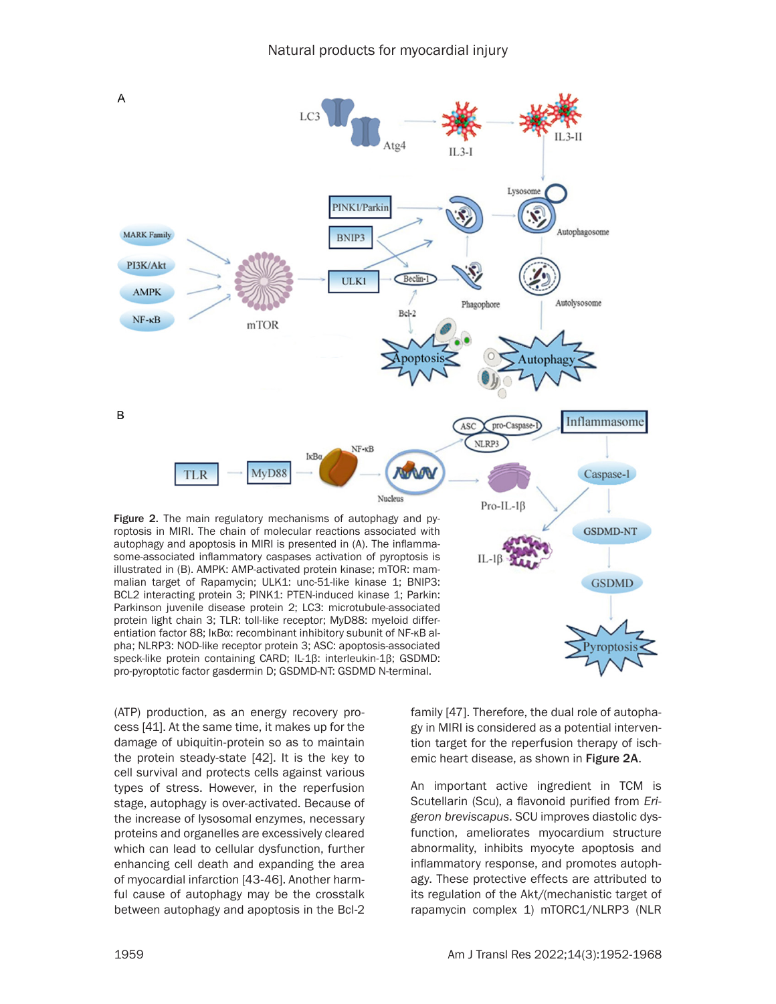

BCL2 interacting protein 3; PINK1: PTEN-induced kinase 1; Parkin: Parkinson juvenile disease protein 2; LC3: microtubule-associated protein light chain 3; TLR: toll-like receptor; MyD88: myeloid differentiation factor 88; IκBα: recombinant inhibitory subunit of NF-κB alpha; NLRP3: NOD-like receptor protein 3; ASC: apoptosis-associated speck-like protein containing CARD; IL-1β: interleukin-1β; GSDMD: pro-pyroptotic factor gasdermin D; GSDMD-NT: GSDMD N-terminal.

(ATP) production, as an energy recovery process [41]. At the same time, it makes up for the damage of ubiquitin-protein so as to maintain the protein steady-state [42]. It is the key to cell survival and protects cells against various types of stress. However, in the reperfusion stage, autophagy is over-activated. Because of the increase of lysosomal enzymes, necessary proteins and organelles are excessively cleared which can lead to cellular dysfunction, further enhancing cell death and expanding the area of myocardial infarction [43-46]. Another harmful cause of autophagy may be the crosstalk between autophagy and apoptosis in the Bcl-2 family [47]. Therefore, the dual role of autophagy in MIRI is considered as a potential intervention target for the reperfusion therapy of ischemic heart disease, as shown in Figure 2A.

Pyroptos

An important active ingredient in TCM is Scutellarin (Scu), a flavonoid purified from *Erigeron breviscapus*. SCU improves diastolic dysfunction, ameliorates myocardium structure abnormality, inhibits myocyte apoptosis and inflammatory response, and promotes autophagy. These protective effects are attributed to its regulation of the Akt/(mechanistic target of rapamycin complex 1) mTORC1/NLRP3 (NLR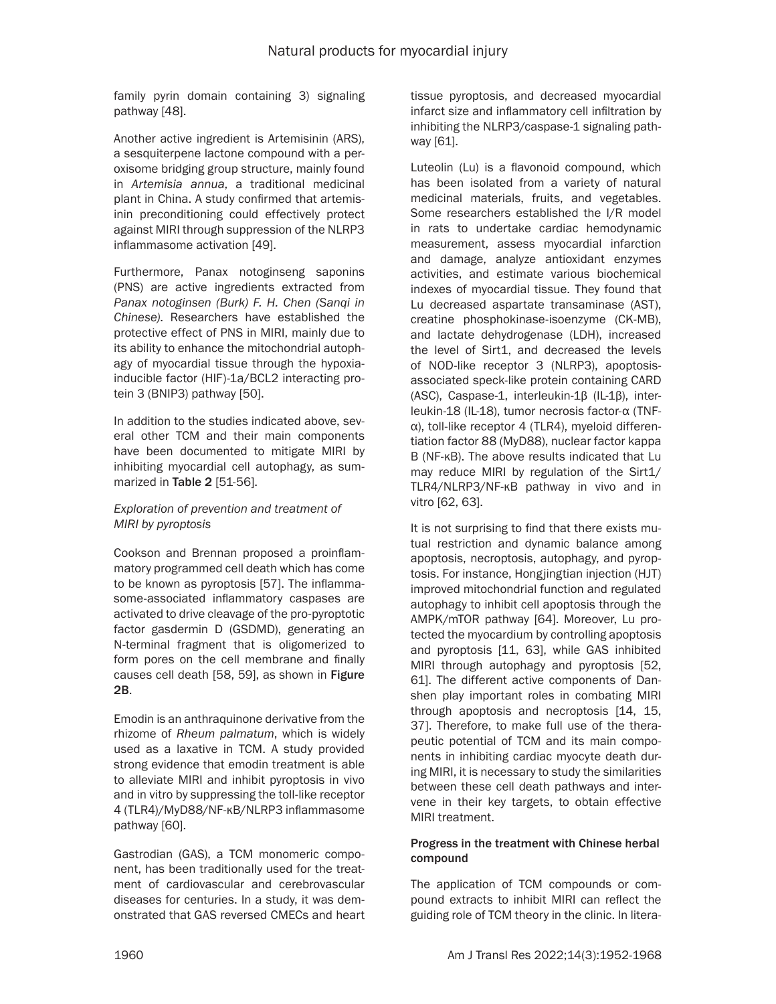family pyrin domain containing 3) signaling pathway [48].

Another active ingredient is Artemisinin (ARS), a sesquiterpene lactone compound with a peroxisome bridging group structure, mainly found in *Artemisia annua*, a traditional medicinal plant in China. A study confirmed that artemisinin preconditioning could effectively protect against MIRI through suppression of the NLRP3 inflammasome activation [49].

Furthermore, Panax notoginseng saponins (PNS) are active ingredients extracted from *Panax notoginsen (Burk) F. H. Chen (Sanqi in Chinese)*. Researchers have established the protective effect of PNS in MIRI, mainly due to its ability to enhance the mitochondrial autophagy of myocardial tissue through the hypoxiainducible factor (HIF)-1a/BCL2 interacting protein 3 (BNIP3) pathway [50].

In addition to the studies indicated above, several other TCM and their main components have been documented to mitigate MIRI by inhibiting myocardial cell autophagy, as summarized in Table 2 [51-56].

# *Exploration of prevention and treatment of MIRI by pyroptosis*

Cookson and Brennan proposed a proinflammatory programmed cell death which has come to be known as pyroptosis [57]. The inflammasome-associated inflammatory caspases are activated to drive cleavage of the pro-pyroptotic factor gasdermin D (GSDMD), generating an N-terminal fragment that is oligomerized to form pores on the cell membrane and finally causes cell death [58, 59], as shown in Figure 2B.

Emodin is an anthraquinone derivative from the rhizome of *Rheum palmatum*, which is widely used as a laxative in TCM. A study provided strong evidence that emodin treatment is able to alleviate MIRI and inhibit pyroptosis in vivo and in vitro by suppressing the toll-like receptor 4 (TLR4)/MyD88/NF-κB/NLRP3 inflammasome pathway [60].

Gastrodian (GAS), a TCM monomeric component, has been traditionally used for the treatment of cardiovascular and cerebrovascular diseases for centuries. In a study, it was demonstrated that GAS reversed CMECs and heart tissue pyroptosis, and decreased myocardial infarct size and inflammatory cell infiltration by inhibiting the NLRP3/caspase-1 signaling pathway [61].

Luteolin (Lu) is a flavonoid compound, which has been isolated from a variety of natural medicinal materials, fruits, and vegetables. Some researchers established the I/R model in rats to undertake cardiac hemodynamic measurement, assess myocardial infarction and damage, analyze antioxidant enzymes activities, and estimate various biochemical indexes of myocardial tissue. They found that Lu decreased aspartate transaminase (AST), creatine phosphokinase-isoenzyme (CK-MB), and lactate dehydrogenase (LDH), increased the level of Sirt1, and decreased the levels of NOD-like receptor 3 (NLRP3), apoptosisassociated speck-like protein containing CARD (ASC), Caspase-1, interleukin-1β (IL-1β), interleukin-18 (IL-18), tumor necrosis factor-α (TNFα), toll-like receptor 4 (TLR4), myeloid differentiation factor 88 (MyD88), nuclear factor kappa B (NF-κB). The above results indicated that Lu may reduce MIRI by regulation of the Sirt1/ TLR4/NLRP3/NF-κB pathway in vivo and in vitro [62, 63].

It is not surprising to find that there exists mutual restriction and dynamic balance among apoptosis, necroptosis, autophagy, and pyroptosis. For instance, Hongjingtian injection (HJT) improved mitochondrial function and regulated autophagy to inhibit cell apoptosis through the AMPK/mTOR pathway [64]. Moreover, Lu protected the myocardium by controlling apoptosis and pyroptosis [11, 63], while GAS inhibited MIRI through autophagy and pyroptosis [52, 61]. The different active components of Danshen play important roles in combating MIRI through apoptosis and necroptosis [14, 15, 37]. Therefore, to make full use of the therapeutic potential of TCM and its main components in inhibiting cardiac myocyte death during MIRI, it is necessary to study the similarities between these cell death pathways and intervene in their key targets, to obtain effective MIRI treatment.

# Progress in the treatment with Chinese herbal compound

The application of TCM compounds or compound extracts to inhibit MIRI can reflect the guiding role of TCM theory in the clinic. In litera-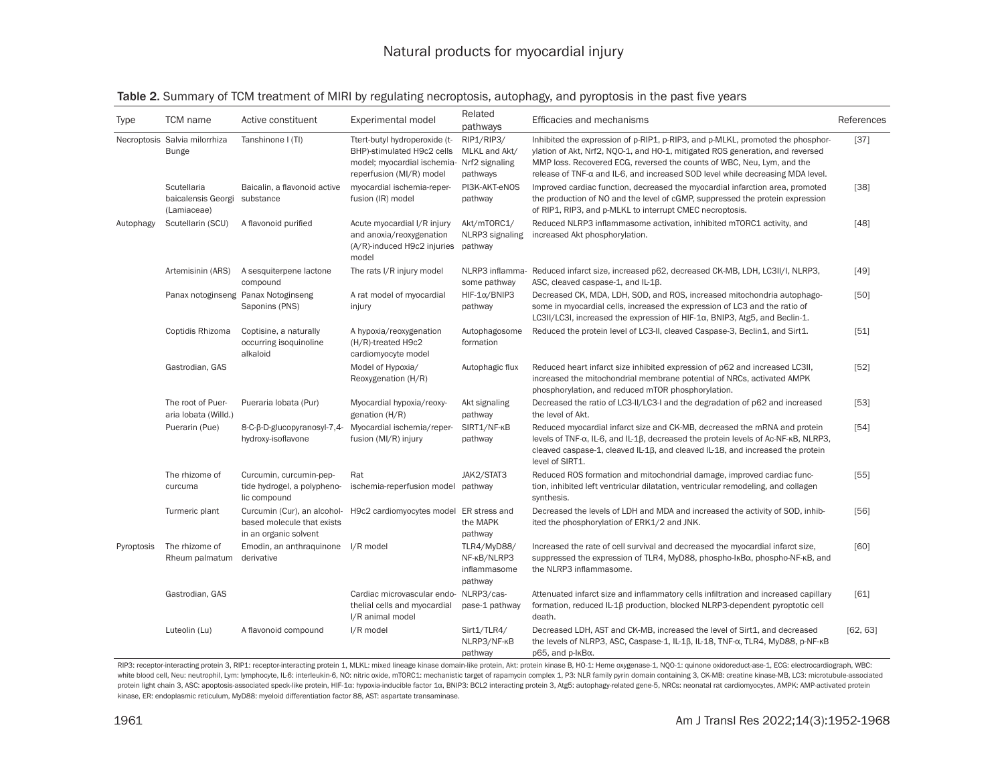#### Table 2. Summary of TCM treatment of MIRI by regulating necroptosis, autophagy, and pyroptosis in the past five years

| Type       | <b>TCM</b> name                                  | Active constituent                                                                 | Experimental model                                                                                                                    | Related<br>pathways                                   | Efficacies and mechanisms                                                                                                                                                                                                                                                                                                   | References |
|------------|--------------------------------------------------|------------------------------------------------------------------------------------|---------------------------------------------------------------------------------------------------------------------------------------|-------------------------------------------------------|-----------------------------------------------------------------------------------------------------------------------------------------------------------------------------------------------------------------------------------------------------------------------------------------------------------------------------|------------|
|            | Necroptosis Salvia milorrhiza<br><b>Bunge</b>    | Tanshinone I (TI)                                                                  | Ttert-butyl hydroperoxide (t-<br>BHP)-stimulated H9c2 cells<br>model; myocardial ischemia- Nrf2 signaling<br>reperfusion (MI/R) model | RIP1/RIP3/<br>MLKL and Akt/<br>pathways               | Inhibited the expression of p-RIP1, p-RIP3, and p-MLKL, promoted the phosphor-<br>ylation of Akt, Nrf2, NQO-1, and HO-1, mitigated ROS generation, and reversed<br>MMP loss. Recovered ECG, reversed the counts of WBC, Neu, Lym, and the<br>release of TNF-α and IL-6, and increased SOD level while decreasing MDA level. | [37]       |
|            | Scutellaria<br>baicalensis Georgi<br>(Lamiaceae) | Baicalin, a flavonoid active<br>substance                                          | myocardial ischemia-reper-<br>fusion (IR) model                                                                                       | PI3K-AKT-eNOS<br>pathway                              | Improved cardiac function, decreased the myocardial infarction area, promoted<br>the production of NO and the level of cGMP, suppressed the protein expression<br>of RIP1, RIP3, and p-MLKL to interrupt CMEC necroptosis.                                                                                                  | [38]       |
| Autophagy  | Scutellarin (SCU)                                | A flavonoid purified                                                               | Acute myocardial I/R injury<br>and anoxia/reoxygenation<br>(A/R)-induced H9c2 injuries<br>model                                       | Akt/mTORC1/<br>NLRP3 signaling<br>pathway             | Reduced NLRP3 inflammasome activation, inhibited mTORC1 activity, and<br>increased Akt phosphorylation.                                                                                                                                                                                                                     | [48]       |
|            | Artemisinin (ARS)                                | A sesquiterpene lactone<br>compound                                                | The rats I/R injury model                                                                                                             | some pathway                                          | NLRP3 inflamma- Reduced infarct size, increased p62, decreased CK-MB, LDH, LC3II/I, NLRP3,<br>ASC, cleaved caspase-1, and IL-1B.                                                                                                                                                                                            | $[49]$     |
|            |                                                  | Panax notoginseng Panax Notoginseng<br>Saponins (PNS)                              | A rat model of myocardial<br>injury                                                                                                   | $HIF-1\alpha/BNIP3$<br>pathway                        | Decreased CK, MDA, LDH, SOD, and ROS, increased mitochondria autophago-<br>some in myocardial cells, increased the expression of LC3 and the ratio of<br>LC3II/LC3I, increased the expression of HIF-1 $\alpha$ , BNIP3, Atg5, and Beclin-1.                                                                                | [50]       |
|            | Coptidis Rhizoma                                 | Coptisine, a naturally<br>occurring isoquinoline<br>alkaloid                       | A hypoxia/reoxygenation<br>(H/R)-treated H9c2<br>cardiomyocyte model                                                                  | Autophagosome<br>formation                            | Reduced the protein level of LC3-II, cleaved Caspase-3, Beclin1, and Sirt1.                                                                                                                                                                                                                                                 | [51]       |
|            | Gastrodian, GAS                                  |                                                                                    | Model of Hypoxia/<br>Reoxygenation (H/R)                                                                                              | Autophagic flux                                       | Reduced heart infarct size inhibited expression of p62 and increased LC3II,<br>increased the mitochondrial membrane potential of NRCs, activated AMPK<br>phosphorylation, and reduced mTOR phosphorylation.                                                                                                                 | $[52]$     |
|            | The root of Puer-<br>aria lobata (Willd.)        | Pueraria lobata (Pur)                                                              | Myocardial hypoxia/reoxy-<br>genation $(H/R)$                                                                                         | Akt signaling<br>pathway                              | Decreased the ratio of LC3-II/LC3-I and the degradation of p62 and increased<br>the level of Akt.                                                                                                                                                                                                                           | $[53]$     |
|            | Puerarin (Pue)                                   | 8-C-β-D-glucopyranosyl-7,4-<br>hydroxy-isoflavone                                  | Myocardial ischemia/reper-<br>fusion (MI/R) injury                                                                                    | SIRT1/NF-KB<br>pathway                                | Reduced myocardial infarct size and CK-MB, decreased the mRNA and protein<br>levels of TNF-α, IL-6, and IL-1β, decreased the protein levels of Ac-NF-κB, NLRP3,<br>cleaved caspase-1, cleaved IL-1 $\beta$ , and cleaved IL-18, and increased the protein<br>level of SIRT1.                                                | $[54]$     |
|            | The rhizome of<br>curcuma                        | Curcumin, curcumin-pep-<br>tide hydrogel, a polypheno-<br>lic compound             | Rat<br>ischemia-reperfusion model                                                                                                     | JAK2/STAT3<br>pathway                                 | Reduced ROS formation and mitochondrial damage, improved cardiac func-<br>tion, inhibited left ventricular dilatation, ventricular remodeling, and collagen<br>synthesis.                                                                                                                                                   | $[55]$     |
|            | Turmeric plant                                   | Curcumin (Cur), an alcohol-<br>based molecule that exists<br>in an organic solvent | H9c2 cardiomyocytes model ER stress and                                                                                               | the MAPK<br>pathway                                   | Decreased the levels of LDH and MDA and increased the activity of SOD, inhib-<br>ited the phosphorylation of ERK1/2 and JNK.                                                                                                                                                                                                | [56]       |
| Pyroptosis | The rhizome of<br>Rheum palmatum                 | Emodin, an anthraguinone<br>derivative                                             | I/R model                                                                                                                             | TLR4/MyD88/<br>NF-KB/NLRP3<br>inflammasome<br>pathway | Increased the rate of cell survival and decreased the myocardial infarct size,<br>suppressed the expression of TLR4, MyD88, phospho-lκBα, phospho-NF-κB, and<br>the NLRP3 inflammasome.                                                                                                                                     | [60]       |
|            | Gastrodian, GAS                                  |                                                                                    | Cardiac microvascular endo- NLRP3/cas-<br>thelial cells and myocardial<br>I/R animal model                                            | pase-1 pathway                                        | Attenuated infarct size and inflammatory cells infiltration and increased capillary<br>formation, reduced IL-1 $\beta$ production, blocked NLRP3-dependent pyroptotic cell<br>death.                                                                                                                                        | [61]       |
|            | Luteolin (Lu)                                    | A flavonoid compound                                                               | I/R model                                                                                                                             | Sirt1/TLR4/<br>NLRP3/NF-KB<br>pathway                 | Decreased LDH, AST and CK-MB, increased the level of Sirt1, and decreased<br>the levels of NLRP3, ASC, Caspase-1, IL-1β, IL-18, TNF-α, TLR4, MyD88, p-NF-κB<br>p65, and p-lκBα.                                                                                                                                             | [62, 63]   |

RIP3: receptor-interacting protein 3, RIP1: receptor-interacting protein 1, MLKL: mixed lineage kinase domain-like protein, Akt: protein kinase B, HO-1: Heme oxygenase-1, NQO-1: quinone oxidoreduct-ase-1, ECG: electrocardi white blood cell, Neu: neutrophil, Lym: lymphocyte, IL-6: interleukin-6, NO: nitric oxide, mTORC1: mechanistic target of rapamycin complex 1, P3: NLR family pyrin domain containing 3, CK-MB: creatine kinase-MB, LC3: microt protein light chain 3, ASC: apoptosis-associated speck-like protein, HIF-1x: hypoxia-inducible factor 1x, BNIP3: BCL2 interacting protein 3, Atg5: autophagy-related gene-5, NRCs: neonatal rat cardiomyocytes, AMPK: AMP-acti kinase, ER: endoplasmic reticulum, MyD88: myeloid differentiation factor 88, AST: aspartate transaminase.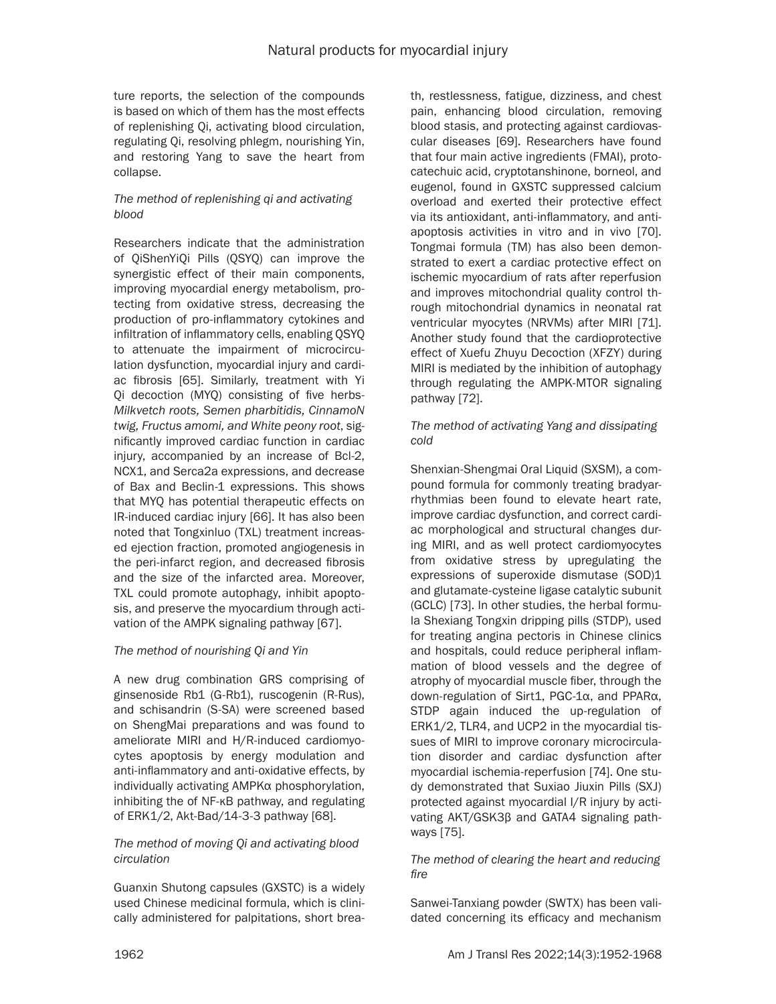ture reports, the selection of the compounds is based on which of them has the most effects of replenishing Qi, activating blood circulation, regulating Qi, resolving phlegm, nourishing Yin, and restoring Yang to save the heart from collapse.

# *The method of replenishing qi and activating blood*

Researchers indicate that the administration of QiShenYiQi Pills (QSYQ) can improve the synergistic effect of their main components, improving myocardial energy metabolism, protecting from oxidative stress, decreasing the production of pro-inflammatory cytokines and infiltration of inflammatory cells, enabling QSYQ to attenuate the impairment of microcirculation dysfunction, myocardial injury and cardiac fibrosis [65]. Similarly, treatment with Yi Qi decoction (MYQ) consisting of five herbs-*Milkvetch roots, Semen pharbitidis, CinnamoN twig, Fructus amomi, and White peony root*, significantly improved cardiac function in cardiac injury, accompanied by an increase of Bcl-2, NCX1, and Serca2a expressions, and decrease of Bax and Beclin-1 expressions. This shows that MYQ has potential therapeutic effects on IR-induced cardiac injury [66]. It has also been noted that Tongxinluo (TXL) treatment increased ejection fraction, promoted angiogenesis in the peri-infarct region, and decreased fibrosis and the size of the infarcted area. Moreover, TXL could promote autophagy, inhibit apoptosis, and preserve the myocardium through activation of the AMPK signaling pathway [67].

# *The method of nourishing Qi and Yin*

A new drug combination GRS comprising of ginsenoside Rb1 (G-Rb1), ruscogenin (R-Rus), and schisandrin (S-SA) were screened based on ShengMai preparations and was found to ameliorate MIRI and H/R-induced cardiomyocytes apoptosis by energy modulation and anti-inflammatory and anti-oxidative effects, by individually activating AMPKα phosphorylation, inhibiting the of NF-κB pathway, and regulating of ERK1/2, Akt-Bad/14-3-3 pathway [68].

# *The method of moving Qi and activating blood circulation*

Guanxin Shutong capsules (GXSTC) is a widely used Chinese medicinal formula, which is clinically administered for palpitations, short breath, restlessness, fatigue, dizziness, and chest pain, enhancing blood circulation, removing blood stasis, and protecting against cardiovascular diseases [69]. Researchers have found that four main active ingredients (FMAI), protocatechuic acid, cryptotanshinone, borneol, and eugenol, found in GXSTC suppressed calcium overload and exerted their protective effect via its antioxidant, anti-inflammatory, and antiapoptosis activities in vitro and in vivo [70]. Tongmai formula (TM) has also been demonstrated to exert a cardiac protective effect on ischemic myocardium of rats after reperfusion and improves mitochondrial quality control through mitochondrial dynamics in neonatal rat ventricular myocytes (NRVMs) after MIRI [71]. Another study found that the cardioprotective effect of Xuefu Zhuyu Decoction (XFZY) during MIRI is mediated by the inhibition of autophagy through regulating the AMPK-MTOR signaling pathway [72].

# *The method of activating Yang and dissipating cold*

Shenxian-Shengmai Oral Liquid (SXSM), a compound formula for commonly treating bradyarrhythmias been found to elevate heart rate, improve cardiac dysfunction, and correct cardiac morphological and structural changes during MIRI, and as well protect cardiomyocytes from oxidative stress by upregulating the expressions of superoxide dismutase (SOD)1 and glutamate-cysteine ligase catalytic subunit (GCLC) [73]. In other studies, the herbal formula Shexiang Tongxin dripping pills (STDP), used for treating angina pectoris in Chinese clinics and hospitals, could reduce peripheral inflammation of blood vessels and the degree of atrophy of myocardial muscle fiber, through the down-regulation of Sirt1, PGC-1α, and PPARα, STDP again induced the up-regulation of ERK1/2, TLR4, and UCP2 in the myocardial tissues of MIRI to improve coronary microcirculation disorder and cardiac dysfunction after myocardial ischemia-reperfusion [74]. One study demonstrated that Suxiao Jiuxin Pills (SXJ) protected against myocardial I/R injury by activating AKT/GSK3β and GATA4 signaling pathways [75].

# *The method of clearing the heart and reducing fire*

Sanwei-Tanxiang powder (SWTX) has been validated concerning its efficacy and mechanism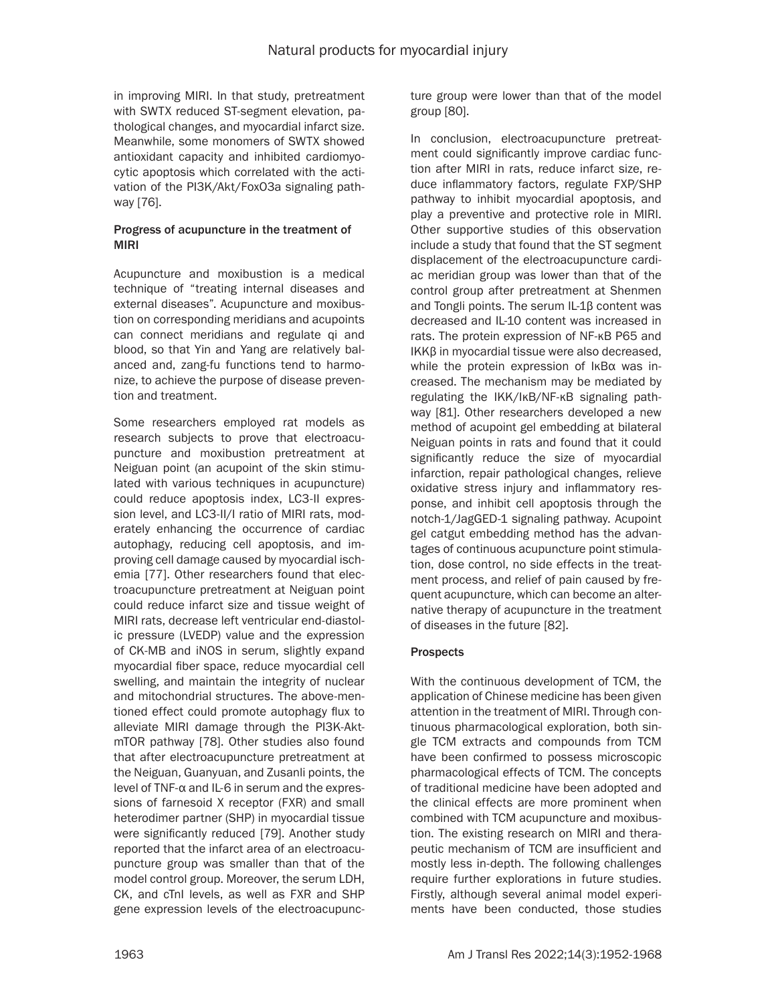in improving MIRI. In that study, pretreatment with SWTX reduced ST-segment elevation, pathological changes, and myocardial infarct size. Meanwhile, some monomers of SWTX showed antioxidant capacity and inhibited cardiomyocytic apoptosis which correlated with the activation of the PI3K/Akt/FoxO3a signaling pathway [76].

# Progress of acupuncture in the treatment of MIRI

Acupuncture and moxibustion is a medical technique of "treating internal diseases and external diseases". Acupuncture and moxibustion on corresponding meridians and acupoints can connect meridians and regulate qi and blood, so that Yin and Yang are relatively balanced and, zang-fu functions tend to harmonize, to achieve the purpose of disease prevention and treatment.

Some researchers employed rat models as research subjects to prove that electroacupuncture and moxibustion pretreatment at Neiguan point (an acupoint of the skin stimulated with various techniques in acupuncture) could reduce apoptosis index, LC3-II expression level, and LC3-II/I ratio of MIRI rats, moderately enhancing the occurrence of cardiac autophagy, reducing cell apoptosis, and improving cell damage caused by myocardial ischemia [77]. Other researchers found that electroacupuncture pretreatment at Neiguan point could reduce infarct size and tissue weight of MIRI rats, decrease left ventricular end-diastolic pressure (LVEDP) value and the expression of CK-MB and iNOS in serum, slightly expand myocardial fiber space, reduce myocardial cell swelling, and maintain the integrity of nuclear and mitochondrial structures. The above-mentioned effect could promote autophagy flux to alleviate MIRI damage through the PI3K-AktmTOR pathway [78]. Other studies also found that after electroacupuncture pretreatment at the Neiguan, Guanyuan, and Zusanli points, the level of TNF-α and IL-6 in serum and the expressions of farnesoid X receptor (FXR) and small heterodimer partner (SHP) in myocardial tissue were significantly reduced [79]. Another study reported that the infarct area of an electroacupuncture group was smaller than that of the model control group. Moreover, the serum LDH, CK, and cTnI levels, as well as FXR and SHP gene expression levels of the electroacupuncture group were lower than that of the model group [80].

In conclusion, electroacupuncture pretreatment could significantly improve cardiac function after MIRI in rats, reduce infarct size, reduce inflammatory factors, regulate FXP/SHP pathway to inhibit myocardial apoptosis, and play a preventive and protective role in MIRI. Other supportive studies of this observation include a study that found that the ST segment displacement of the electroacupuncture cardiac meridian group was lower than that of the control group after pretreatment at Shenmen and Tongli points. The serum IL-1β content was decreased and IL-10 content was increased in rats. The protein expression of NF-κB P65 and IKKβ in myocardial tissue were also decreased, while the protein expression of IκBα was increased. The mechanism may be mediated by regulating the IKK/IκB/NF-κB signaling pathway [81]. Other researchers developed a new method of acupoint gel embedding at bilateral Neiguan points in rats and found that it could significantly reduce the size of myocardial infarction, repair pathological changes, relieve oxidative stress injury and inflammatory response, and inhibit cell apoptosis through the notch-1/JagGED-1 signaling pathway. Acupoint gel catgut embedding method has the advantages of continuous acupuncture point stimulation, dose control, no side effects in the treatment process, and relief of pain caused by frequent acupuncture, which can become an alternative therapy of acupuncture in the treatment of diseases in the future [82].

# **Prospects**

With the continuous development of TCM, the application of Chinese medicine has been given attention in the treatment of MIRI. Through continuous pharmacological exploration, both single TCM extracts and compounds from TCM have been confirmed to possess microscopic pharmacological effects of TCM. The concepts of traditional medicine have been adopted and the clinical effects are more prominent when combined with TCM acupuncture and moxibustion. The existing research on MIRI and therapeutic mechanism of TCM are insufficient and mostly less in-depth. The following challenges require further explorations in future studies. Firstly, although several animal model experiments have been conducted, those studies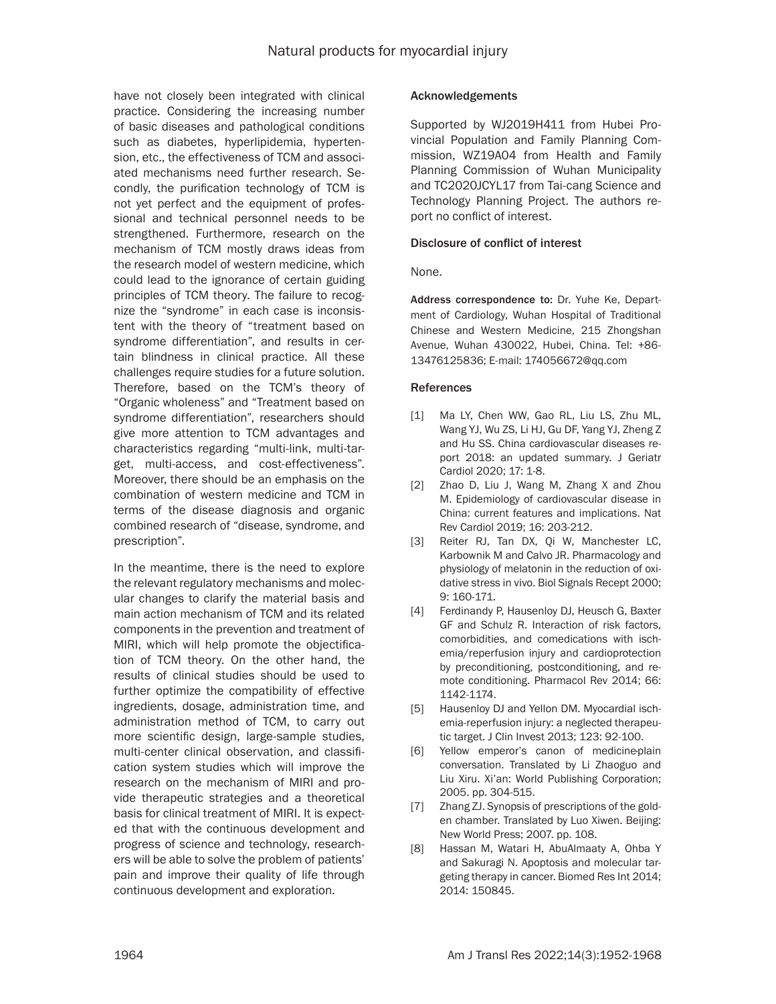have not closely been integrated with clinical practice. Considering the increasing number of basic diseases and pathological conditions such as diabetes, hyperlipidemia, hypertension, etc., the effectiveness of TCM and associated mechanisms need further research. Secondly, the purification technology of TCM is not yet perfect and the equipment of professional and technical personnel needs to be strengthened. Furthermore, research on the mechanism of TCM mostly draws ideas from the research model of western medicine, which could lead to the ignorance of certain guiding principles of TCM theory. The failure to recognize the "syndrome" in each case is inconsistent with the theory of "treatment based on syndrome differentiation", and results in certain blindness in clinical practice. All these challenges require studies for a future solution. Therefore, based on the TCM's theory of "Organic wholeness" and "Treatment based on syndrome differentiation", researchers should give more attention to TCM advantages and characteristics regarding "multi-link, multi-target, multi-access, and cost-effectiveness". Moreover, there should be an emphasis on the combination of western medicine and TCM in terms of the disease diagnosis and organic combined research of "disease, syndrome, and prescription".

In the meantime, there is the need to explore the relevant regulatory mechanisms and molecular changes to clarify the material basis and main action mechanism of TCM and its related components in the prevention and treatment of MIRI, which will help promote the objectification of TCM theory. On the other hand, the results of clinical studies should be used to further optimize the compatibility of effective ingredients, dosage, administration time, and administration method of TCM, to carry out more scientific design, large-sample studies, multi-center clinical observation, and classification system studies which will improve the research on the mechanism of MIRI and provide therapeutic strategies and a theoretical basis for clinical treatment of MIRI. It is expected that with the continuous development and progress of science and technology, researchers will be able to solve the problem of patients' pain and improve their quality of life through continuous development and exploration.

# Acknowledgements

Supported by WJ2019H411 from Hubei Provincial Population and Family Planning Commission, WZ19A04 from Health and Family Planning Commission of Wuhan Municipality and TC2020JCYL17 from Tai-cang Science and Technology Planning Project. The authors report no conflict of interest.

# Disclosure of conflict of interest

# None.

Address correspondence to: Dr. Yuhe Ke, Department of Cardiology, Wuhan Hospital of Traditional Chinese and Western Medicine, 215 Zhongshan Avenue, Wuhan 430022, Hubei, China. Tel: +86- 13476125836; E-mail: [174056672@qq.com](mailto:174056672@qq.com)

# References

- [1] Ma LY, Chen WW, Gao RL, Liu LS, Zhu ML, Wang YJ, Wu ZS, Li HJ, Gu DF, Yang YJ, Zheng Z and Hu SS. China cardiovascular diseases report 2018: an updated summary. J Geriatr Cardiol 2020; 17: 1-8.
- [2] Zhao D, Liu J, Wang M, Zhang X and Zhou M. Epidemiology of cardiovascular disease in China: current features and implications. Nat Rev Cardiol 2019; 16: 203-212.
- [3] Reiter RJ, Tan DX, Qi W, Manchester LC, Karbownik M and Calvo JR. Pharmacology and physiology of melatonin in the reduction of oxidative stress in vivo. Biol Signals Recept 2000; 9: 160-171.
- [4] Ferdinandy P, Hausenloy DJ, Heusch G, Baxter GF and Schulz R. Interaction of risk factors, comorbidities, and comedications with ischemia/reperfusion injury and cardioprotection by preconditioning, postconditioning, and remote conditioning. Pharmacol Rev 2014; 66: 1142-1174.
- [5] Hausenloy DJ and Yellon DM. Myocardial ischemia-reperfusion injury: a neglected therapeutic target. J Clin Invest 2013; 123: 92-100.
- [6] Yellow emperor's canon of medicine·plain conversation. Translated by Li Zhaoguo and Liu Xiru. Xi'an: World Publishing Corporation; 2005. pp. 304-515.
- [7] Zhang ZJ. Synopsis of prescriptions of the golden chamber. Translated by Luo Xiwen. Beijing: New World Press; 2007. pp. 108.
- [8] Hassan M, Watari H, AbuAlmaaty A, Ohba Y and Sakuragi N. Apoptosis and molecular targeting therapy in cancer. Biomed Res Int 2014; 2014: 150845.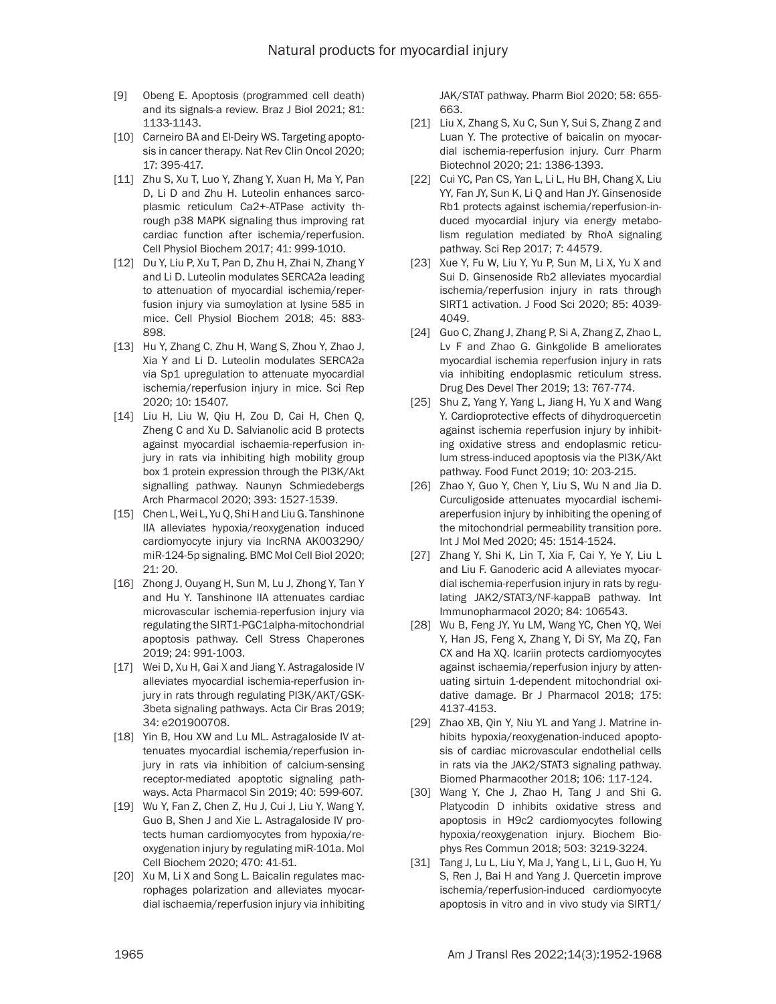- [9] Obeng E. Apoptosis (programmed cell death) and its signals-a review. Braz J Biol 2021; 81: 1133-1143.
- [10] Carneiro BA and El-Deiry WS. Targeting apoptosis in cancer therapy. Nat Rev Clin Oncol 2020; 17: 395-417.
- [11] Zhu S, Xu T, Luo Y, Zhang Y, Xuan H, Ma Y, Pan D, Li D and Zhu H. Luteolin enhances sarcoplasmic reticulum Ca2+-ATPase activity through p38 MAPK signaling thus improving rat cardiac function after ischemia/reperfusion. Cell Physiol Biochem 2017; 41: 999-1010.
- [12] Du Y, Liu P, Xu T, Pan D, Zhu H, Zhai N, Zhang Y and Li D. Luteolin modulates SERCA2a leading to attenuation of myocardial ischemia/reperfusion injury via sumoylation at lysine 585 in mice. Cell Physiol Biochem 2018; 45: 883- 898.
- [13] Hu Y, Zhang C, Zhu H, Wang S, Zhou Y, Zhao J, Xia Y and Li D. Luteolin modulates SERCA2a via Sp1 upregulation to attenuate myocardial ischemia/reperfusion injury in mice. Sci Rep 2020; 10: 15407.
- [14] Liu H, Liu W, Qiu H, Zou D, Cai H, Chen Q, Zheng C and Xu D. Salvianolic acid B protects against myocardial ischaemia-reperfusion injury in rats via inhibiting high mobility group box 1 protein expression through the PI3K/Akt signalling pathway. Naunyn Schmiedebergs Arch Pharmacol 2020; 393: 1527-1539.
- [15] Chen L, Wei L, Yu Q, Shi H and Liu G. Tanshinone IIA alleviates hypoxia/reoxygenation induced cardiomyocyte injury via lncRNA AK003290/ miR-124-5p signaling. BMC Mol Cell Biol 2020; 21: 20.
- [16] Zhong J, Ouyang H, Sun M, Lu J, Zhong Y, Tan Y and Hu Y. Tanshinone IIA attenuates cardiac microvascular ischemia-reperfusion injury via regulating the SIRT1-PGC1alpha-mitochondrial apoptosis pathway. Cell Stress Chaperones 2019; 24: 991-1003.
- [17] Wei D, Xu H, Gai X and Jiang Y. Astragaloside IV alleviates myocardial ischemia-reperfusion injury in rats through regulating PI3K/AKT/GSK-3beta signaling pathways. Acta Cir Bras 2019; 34: e201900708.
- [18] Yin B, Hou XW and Lu ML. Astragaloside IV attenuates myocardial ischemia/reperfusion injury in rats via inhibition of calcium-sensing receptor-mediated apoptotic signaling pathways. Acta Pharmacol Sin 2019; 40: 599-607.
- [19] Wu Y, Fan Z, Chen Z, Hu J, Cui J, Liu Y, Wang Y, Guo B, Shen J and Xie L. Astragaloside IV protects human cardiomyocytes from hypoxia/reoxygenation injury by regulating miR-101a. Mol Cell Biochem 2020; 470: 41-51.
- [20] Xu M, Li X and Song L. Baicalin regulates macrophages polarization and alleviates myocardial ischaemia/reperfusion injury via inhibiting

JAK/STAT pathway. Pharm Biol 2020; 58: 655- 663.

- [21] Liu X, Zhang S, Xu C, Sun Y, Sui S, Zhang Z and Luan Y. The protective of baicalin on myocardial ischemia-reperfusion injury. Curr Pharm Biotechnol 2020; 21: 1386-1393.
- [22] Cui YC, Pan CS, Yan L, Li L, Hu BH, Chang X, Liu YY, Fan JY, Sun K, Li Q and Han JY. Ginsenoside Rb1 protects against ischemia/reperfusion-induced myocardial injury via energy metabolism regulation mediated by RhoA signaling pathway. Sci Rep 2017; 7: 44579.
- [23] Xue Y, Fu W, Liu Y, Yu P, Sun M, Li X, Yu X and Sui D. Ginsenoside Rb2 alleviates myocardial ischemia/reperfusion injury in rats through SIRT1 activation. J Food Sci 2020; 85: 4039- 4049.
- [24] Guo C, Zhang J, Zhang P, Si A, Zhang Z, Zhao L, Lv F and Zhao G. Ginkgolide B ameliorates myocardial ischemia reperfusion injury in rats via inhibiting endoplasmic reticulum stress. Drug Des Devel Ther 2019; 13: 767-774.
- [25] Shu Z, Yang Y, Yang L, Jiang H, Yu X and Wang Y. Cardioprotective effects of dihydroquercetin against ischemia reperfusion injury by inhibiting oxidative stress and endoplasmic reticulum stress-induced apoptosis via the PI3K/Akt pathway. Food Funct 2019; 10: 203-215.
- [26] Zhao Y, Guo Y, Chen Y, Liu S, Wu N and Jia D. Curculigoside attenuates myocardial ischemiareperfusion injury by inhibiting the opening of the mitochondrial permeability transition pore. Int J Mol Med 2020; 45: 1514-1524.
- [27] Zhang Y, Shi K, Lin T, Xia F, Cai Y, Ye Y, Liu L and Liu F. Ganoderic acid A alleviates myocardial ischemia-reperfusion injury in rats by regulating JAK2/STAT3/NF-kappaB pathway. Int Immunopharmacol 2020; 84: 106543.
- [28] Wu B, Feng JY, Yu LM, Wang YC, Chen YQ, Wei Y, Han JS, Feng X, Zhang Y, Di SY, Ma ZQ, Fan CX and Ha XQ. Icariin protects cardiomyocytes against ischaemia/reperfusion injury by attenuating sirtuin 1-dependent mitochondrial oxidative damage. Br J Pharmacol 2018; 175: 4137-4153.
- [29] Zhao XB, Qin Y, Niu YL and Yang J. Matrine inhibits hypoxia/reoxygenation-induced apoptosis of cardiac microvascular endothelial cells in rats via the JAK2/STAT3 signaling pathway. Biomed Pharmacother 2018; 106: 117-124.
- [30] Wang Y, Che J, Zhao H, Tang J and Shi G. Platycodin D inhibits oxidative stress and apoptosis in H9c2 cardiomyocytes following hypoxia/reoxygenation injury. Biochem Biophys Res Commun 2018; 503: 3219-3224.
- [31] Tang J, Lu L, Liu Y, Ma J, Yang L, Li L, Guo H, Yu S, Ren J, Bai H and Yang J. Quercetin improve ischemia/reperfusion-induced cardiomyocyte apoptosis in vitro and in vivo study via SIRT1/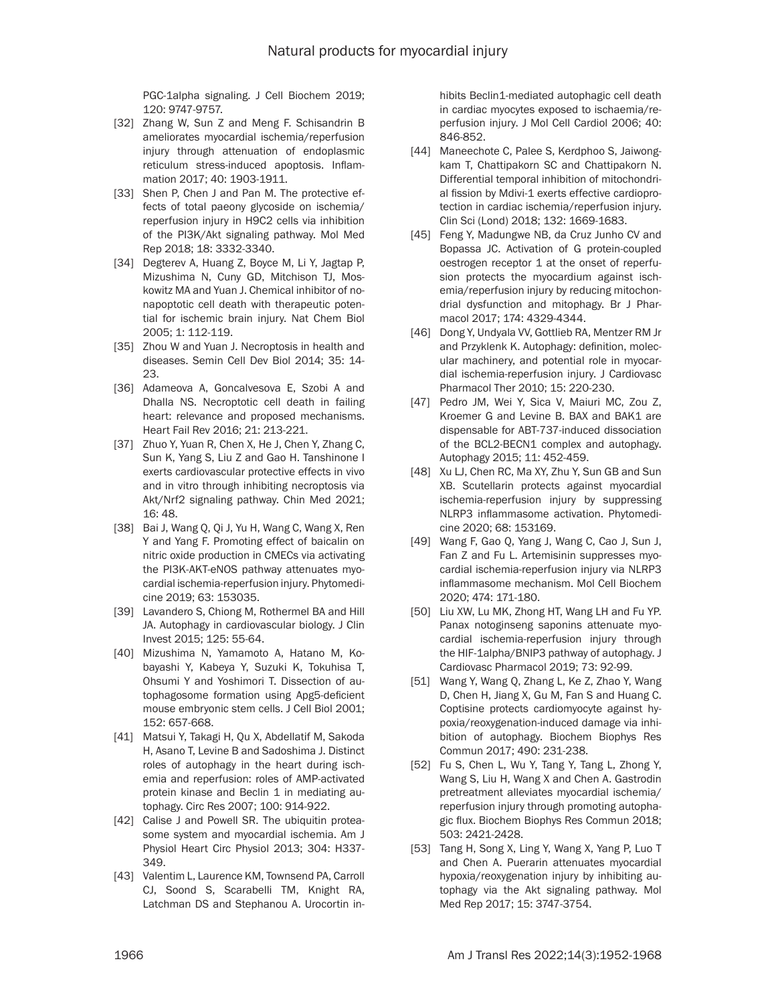PGC-1alpha signaling. J Cell Biochem 2019; 120: 9747-9757.

- [32] Zhang W, Sun Z and Meng F. Schisandrin B ameliorates myocardial ischemia/reperfusion injury through attenuation of endoplasmic reticulum stress-induced apoptosis. Inflammation 2017; 40: 1903-1911.
- [33] Shen P, Chen J and Pan M. The protective effects of total paeony glycoside on ischemia/ reperfusion injury in H9C2 cells via inhibition of the PI3K/Akt signaling pathway. Mol Med Rep 2018; 18: 3332-3340.
- [34] Degterev A, Huang Z, Boyce M, Li Y, Jagtap P, Mizushima N, Cuny GD, Mitchison TJ, Moskowitz MA and Yuan J. Chemical inhibitor of nonapoptotic cell death with therapeutic potential for ischemic brain injury. Nat Chem Biol 2005; 1: 112-119.
- [35] Zhou W and Yuan J. Necroptosis in health and diseases. Semin Cell Dev Biol 2014; 35: 14- 23.
- [36] Adameova A, Goncalvesova E, Szobi A and Dhalla NS. Necroptotic cell death in failing heart: relevance and proposed mechanisms. Heart Fail Rev 2016; 21: 213-221.
- [37] Zhuo Y, Yuan R, Chen X, He J, Chen Y, Zhang C, Sun K, Yang S, Liu Z and Gao H. Tanshinone I exerts cardiovascular protective effects in vivo and in vitro through inhibiting necroptosis via Akt/Nrf2 signaling pathway. Chin Med 2021; 16: 48.
- [38] Bai J, Wang Q, Qi J, Yu H, Wang C, Wang X, Ren Y and Yang F. Promoting effect of baicalin on nitric oxide production in CMECs via activating the PI3K-AKT-eNOS pathway attenuates myocardial ischemia-reperfusion injury. Phytomedicine 2019; 63: 153035.
- [39] Lavandero S, Chiong M, Rothermel BA and Hill JA. Autophagy in cardiovascular biology. J Clin Invest 2015; 125: 55-64.
- [40] Mizushima N, Yamamoto A, Hatano M, Kobayashi Y, Kabeya Y, Suzuki K, Tokuhisa T, Ohsumi Y and Yoshimori T. Dissection of autophagosome formation using Apg5-deficient mouse embryonic stem cells. J Cell Biol 2001; 152: 657-668.
- [41] Matsui Y, Takagi H, Qu X, Abdellatif M, Sakoda H, Asano T, Levine B and Sadoshima J. Distinct roles of autophagy in the heart during ischemia and reperfusion: roles of AMP-activated protein kinase and Beclin 1 in mediating autophagy. Circ Res 2007; 100: 914-922.
- [42] Calise J and Powell SR. The ubiquitin proteasome system and myocardial ischemia. Am J Physiol Heart Circ Physiol 2013; 304: H337- 349.
- [43] Valentim L, Laurence KM, Townsend PA, Carroll CJ, Soond S, Scarabelli TM, Knight RA, Latchman DS and Stephanou A. Urocortin in-

hibits Beclin1-mediated autophagic cell death in cardiac myocytes exposed to ischaemia/reperfusion injury. J Mol Cell Cardiol 2006; 40: 846-852.

- [44] Maneechote C, Palee S, Kerdphoo S, Jaiwongkam T, Chattipakorn SC and Chattipakorn N. Differential temporal inhibition of mitochondrial fission by Mdivi-1 exerts effective cardioprotection in cardiac ischemia/reperfusion injury. Clin Sci (Lond) 2018; 132: 1669-1683.
- [45] Feng Y, Madungwe NB, da Cruz Junho CV and Bopassa JC. Activation of G protein-coupled oestrogen receptor 1 at the onset of reperfusion protects the myocardium against ischemia/reperfusion injury by reducing mitochondrial dysfunction and mitophagy. Br J Pharmacol 2017; 174: 4329-4344.
- [46] Dong Y, Undyala VV, Gottlieb RA, Mentzer RM Jr and Przyklenk K. Autophagy: definition, molecular machinery, and potential role in myocardial ischemia-reperfusion injury. J Cardiovasc Pharmacol Ther 2010; 15: 220-230.
- [47] Pedro JM, Wei Y, Sica V, Maiuri MC, Zou Z, Kroemer G and Levine B. BAX and BAK1 are dispensable for ABT-737-induced dissociation of the BCL2-BECN1 complex and autophagy. Autophagy 2015; 11: 452-459.
- [48] Xu LJ, Chen RC, Ma XY, Zhu Y, Sun GB and Sun XB. Scutellarin protects against myocardial ischemia-reperfusion injury by suppressing NLRP3 inflammasome activation. Phytomedicine 2020; 68: 153169.
- [49] Wang F, Gao Q, Yang J, Wang C, Cao J, Sun J, Fan Z and Fu L. Artemisinin suppresses myocardial ischemia-reperfusion injury via NLRP3 inflammasome mechanism. Mol Cell Biochem 2020; 474: 171-180.
- [50] Liu XW, Lu MK, Zhong HT, Wang LH and Fu YP. Panax notoginseng saponins attenuate myocardial ischemia-reperfusion injury through the HIF-1alpha/BNIP3 pathway of autophagy. J Cardiovasc Pharmacol 2019; 73: 92-99.
- [51] Wang Y, Wang Q, Zhang L, Ke Z, Zhao Y, Wang D, Chen H, Jiang X, Gu M, Fan S and Huang C. Coptisine protects cardiomyocyte against hypoxia/reoxygenation-induced damage via inhibition of autophagy. Biochem Biophys Res Commun 2017; 490: 231-238.
- [52] Fu S, Chen L, Wu Y, Tang Y, Tang L, Zhong Y, Wang S, Liu H, Wang X and Chen A. Gastrodin pretreatment alleviates myocardial ischemia/ reperfusion injury through promoting autophagic flux. Biochem Biophys Res Commun 2018; 503: 2421-2428.
- [53] Tang H, Song X, Ling Y, Wang X, Yang P, Luo T and Chen A. Puerarin attenuates myocardial hypoxia/reoxygenation injury by inhibiting autophagy via the Akt signaling pathway. Mol Med Rep 2017; 15: 3747-3754.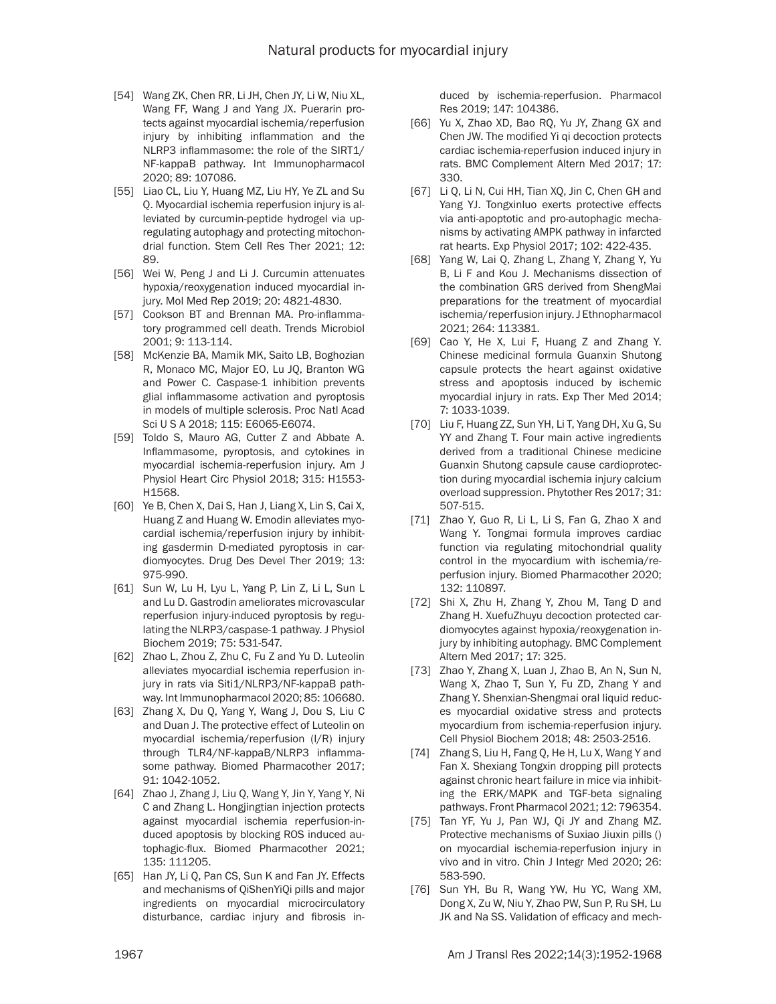- [54] Wang ZK, Chen RR, Li JH, Chen JY, Li W, Niu XL, Wang FF, Wang J and Yang JX. Puerarin protects against myocardial ischemia/reperfusion injury by inhibiting inflammation and the NLRP3 inflammasome: the role of the SIRT1/ NF-kappaB pathway. Int Immunopharmacol 2020; 89: 107086.
- [55] Liao CL, Liu Y, Huang MZ, Liu HY, Ye ZL and Su Q. Myocardial ischemia reperfusion injury is alleviated by curcumin-peptide hydrogel via upregulating autophagy and protecting mitochondrial function. Stem Cell Res Ther 2021; 12: 89.
- [56] Wei W, Peng J and Li J. Curcumin attenuates hypoxia/reoxygenation induced myocardial injury. Mol Med Rep 2019; 20: 4821-4830.
- [57] Cookson BT and Brennan MA. Pro-inflammatory programmed cell death. Trends Microbiol 2001; 9: 113-114.
- [58] McKenzie BA, Mamik MK, Saito LB, Boghozian R, Monaco MC, Major EO, Lu JQ, Branton WG and Power C. Caspase-1 inhibition prevents glial inflammasome activation and pyroptosis in models of multiple sclerosis. Proc Natl Acad Sci U S A 2018; 115: E6065-E6074.
- [59] Toldo S, Mauro AG, Cutter Z and Abbate A. Inflammasome, pyroptosis, and cytokines in myocardial ischemia-reperfusion injury. Am J Physiol Heart Circ Physiol 2018; 315: H1553- H1568.
- [60] Ye B, Chen X, Dai S, Han J, Liang X, Lin S, Cai X, Huang Z and Huang W. Emodin alleviates myocardial ischemia/reperfusion injury by inhibiting gasdermin D-mediated pyroptosis in cardiomyocytes. Drug Des Devel Ther 2019; 13: 975-990.
- [61] Sun W, Lu H, Lyu L, Yang P, Lin Z, Li L, Sun L and Lu D. Gastrodin ameliorates microvascular reperfusion injury-induced pyroptosis by regulating the NLRP3/caspase-1 pathway. J Physiol Biochem 2019; 75: 531-547.
- [62] Zhao L, Zhou Z, Zhu C, Fu Z and Yu D. Luteolin alleviates myocardial ischemia reperfusion injury in rats via Siti1/NLRP3/NF-kappaB pathway. Int Immunopharmacol 2020; 85: 106680.
- [63] Zhang X, Du Q, Yang Y, Wang J, Dou S, Liu C and Duan J. The protective effect of Luteolin on myocardial ischemia/reperfusion (I/R) injury through TLR4/NF-kappaB/NLRP3 inflammasome pathway. Biomed Pharmacother 2017; 91: 1042-1052.
- [64] Zhao J, Zhang J, Liu Q, Wang Y, Jin Y, Yang Y, Ni C and Zhang L. Hongjingtian injection protects against myocardial ischemia reperfusion-induced apoptosis by blocking ROS induced autophagic-flux. Biomed Pharmacother 2021; 135: 111205.
- [65] Han JY, Li Q, Pan CS, Sun K and Fan JY. Effects and mechanisms of QiShenYiQi pills and major ingredients on myocardial microcirculatory disturbance, cardiac injury and fibrosis in-

duced by ischemia-reperfusion. Pharmacol Res 2019; 147: 104386.

- [66] Yu X, Zhao XD, Bao RQ, Yu JY, Zhang GX and Chen JW. The modified Yi qi decoction protects cardiac ischemia-reperfusion induced injury in rats. BMC Complement Altern Med 2017; 17: 330.
- [67] Li Q, Li N, Cui HH, Tian XQ, Jin C, Chen GH and Yang YJ. Tongxinluo exerts protective effects via anti-apoptotic and pro-autophagic mechanisms by activating AMPK pathway in infarcted rat hearts. Exp Physiol 2017; 102: 422-435.
- [68] Yang W, Lai Q, Zhang L, Zhang Y, Zhang Y, Yu B, Li F and Kou J. Mechanisms dissection of the combination GRS derived from ShengMai preparations for the treatment of myocardial ischemia/reperfusion injury. J Ethnopharmacol 2021; 264: 113381.
- [69] Cao Y, He X, Lui F, Huang Z and Zhang Y. Chinese medicinal formula Guanxin Shutong capsule protects the heart against oxidative stress and apoptosis induced by ischemic myocardial injury in rats. Exp Ther Med 2014; 7: 1033-1039.
- [70] Liu F, Huang ZZ, Sun YH, Li T, Yang DH, Xu G, Su YY and Zhang T. Four main active ingredients derived from a traditional Chinese medicine Guanxin Shutong capsule cause cardioprotection during myocardial ischemia injury calcium overload suppression. Phytother Res 2017; 31: 507-515.
- [71] Zhao Y, Guo R, Li L, Li S, Fan G, Zhao X and Wang Y. Tongmai formula improves cardiac function via regulating mitochondrial quality control in the myocardium with ischemia/reperfusion injury. Biomed Pharmacother 2020; 132: 110897.
- [72] Shi X, Zhu H, Zhang Y, Zhou M, Tang D and Zhang H. XuefuZhuyu decoction protected cardiomyocytes against hypoxia/reoxygenation injury by inhibiting autophagy. BMC Complement Altern Med 2017; 17: 325.
- [73] Zhao Y, Zhang X, Luan J, Zhao B, An N, Sun N, Wang X, Zhao T, Sun Y, Fu ZD, Zhang Y and Zhang Y. Shenxian-Shengmai oral liquid reduces myocardial oxidative stress and protects myocardium from ischemia-reperfusion injury. Cell Physiol Biochem 2018; 48: 2503-2516.
- [74] Zhang S, Liu H, Fang Q, He H, Lu X, Wang Y and Fan X. Shexiang Tongxin dropping pill protects against chronic heart failure in mice via inhibiting the ERK/MAPK and TGF-beta signaling pathways. Front Pharmacol 2021; 12: 796354.
- [75] Tan YF, Yu J, Pan WJ, Qi JY and Zhang MZ. Protective mechanisms of Suxiao Jiuxin pills () on myocardial ischemia-reperfusion injury in vivo and in vitro. Chin J Integr Med 2020; 26: 583-590.
- [76] Sun YH, Bu R, Wang YW, Hu YC, Wang XM, Dong X, Zu W, Niu Y, Zhao PW, Sun P, Ru SH, Lu JK and Na SS. Validation of efficacy and mech-